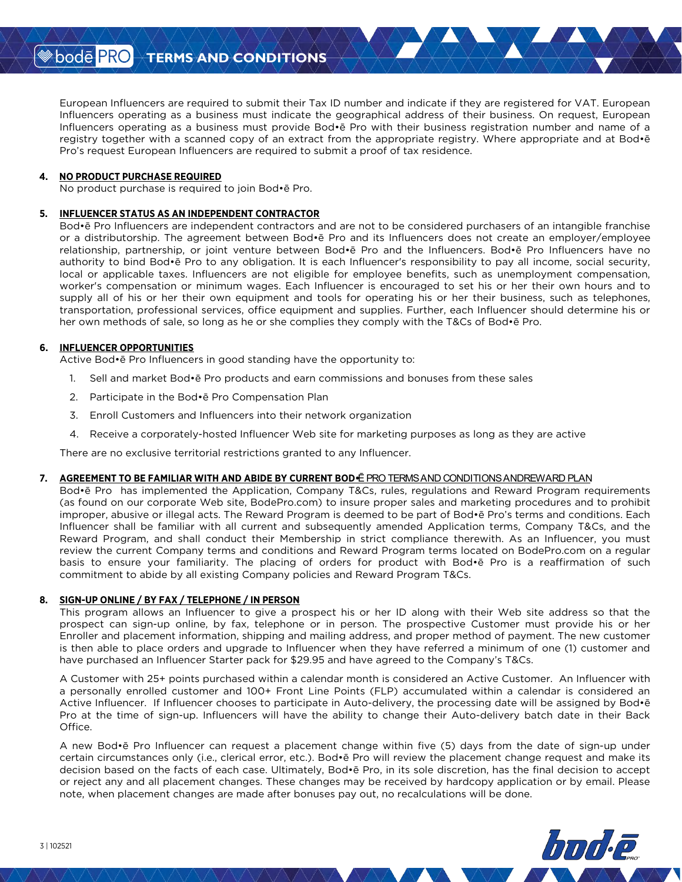European Influencers are required to submit their Tax ID number and indicate if they are registered for VAT. European Influencers operating as a business must indicate the geographical address of their business. On request, European Influencers operating as a business must provide Bod Pro with their business registration number and name of a registry together with a scanned copy of an extract from the appropriate registry. Where appropriate and at Bod Pro s request European Influencers are required to submit a proof of tax residence.

### **4. NO PRODUCT PURCHASE REQUIRED**

No product purchase is required to join Bod Pro.

### **5. INFLUENCER STATUS AS AN INDEPENDENT CONTRACTOR**

Bod Pro Influencers are independent contractors and are not to be considered purchasers of an intangible franchise or a distributorship. The agreement between Bod Pro and its Influencers does not create an employer/employee relationship, partnership, or joint venture between Bod Pro and the Influencers. Bod Pro Influencers have no authority to bind Bod Pro to any obligation. It is each Influencer's responsibility to pay all income, social security, local or applicable taxes. Influencers are not eligible for employee benefits, such as unemployment compensation, worker's compensation or minimum wages. Each Influencer is encouraged to set his or her their own hours and to supply all of his or her their own equipment and tools for operating his or her their business, such as telephones, transportation, professional services, office equipment and supplies. Further, each Influencer should determine his or her own methods of sale, so long as he or she complies they comply with the T&Cs of Bod Pro.

### **6. INFLUENCER OPPORTUNITIES**

Active Bod Pro Influencers in good standing have the opportunity to:

- 1. Sell and market Bod Pro products and earn commissions and bonuses from these sales
- 2. Participate in the Bod Pro Compensation Plan
- 3. Enroll Customers and Influencers into their network organization
- 4. Receive a corporately-hosted Influencer Web site for marketing purposes as long as they are active

There are no exclusive territorial restrictions granted to any Influencer.

### 7. AGREEMENT TO BE FAMILIAR WITH AND ABIDE BY CURRENT BOD•**@RO TERMS AND CONDITIONS ANDREWARD PLAN**

Pro has implemented the Application, Company T&Cs, rules, regulations and Reward Program requirements (as found on our corporate Web site, BodePro.com) to insure proper sales and marketing procedures and to prohibit improper, abusive or illegal acts. The Reward Program is deemed to be part of Bod Pros terms and conditions. Each Influencer shall be familiar with all current and subsequently amended Application terms, Company T&Cs, and the Reward Program, and shall conduct their Membership in strict compliance therewith. As an Influencer, you must review the current Company terms and conditions and Reward Program terms located on BodePro.com on a regular basis to ensure your familiarity. The placing of orders for product with Bod Pro is a reaffirmation of such commitment to abide by all existing Company policies and Reward Program T&Cs.

### **8. SIGN-UP ONLINE / BY FAX / TELEPHONE / IN PERSON**

This program allows an Influencer to give a prospect his or her ID along with their Web site address so that the prospect can sign-up online, by fax, telephone or in person. The prospective Customer must provide his or her Enroller and placement information, shipping and mailing address, and proper method of payment. The new customer is then able to place orders and upgrade to Influencer when they have referred a minimum of one (1) customer and have purchased an Influencer Starter pack for \$29.95 and have agreed to the Companys T&Cs.

A Customer with 25+ points purchased within a calendar month is considered an Active Customer. An Influencer with a personally enrolled customer and 100+ Front Line Points (FLP) accumulated within a calendar is considered an Active Influencer. If Influencer chooses to participate in Auto-delivery, the processing date will be assigned by Bod Pro at the time of sign-up. Influencers will have the ability to change their Auto-delivery batch date in their Back Office.

A new Bod Pro Influencer can request a placement change within five (5) days from the date of sign-up under certain circumstances only (i.e., clerical error, etc.). Bod Pro will review the placement change request and make its decision based on the facts of each case. Ultimately, Bod Pro, in its sole discretion, has the final decision to accept or reject any and all placement changes. These changes may be received by hardcopy application or by email. Please note, when placement changes are made after bonuses pay out, no recalculations will be done.

San Dode <mark>PRO</mark>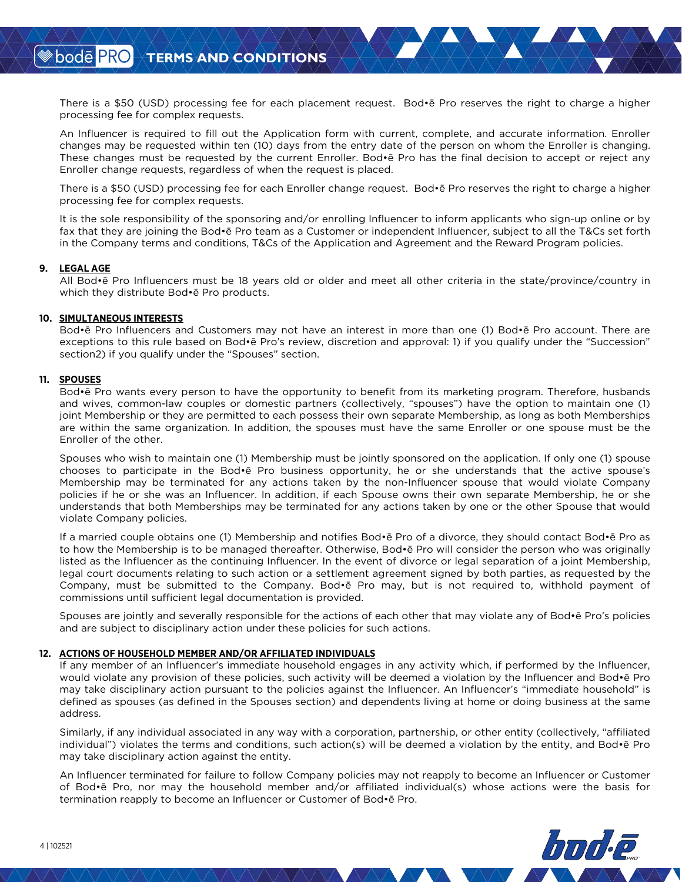There is a \$50 (USD) processing fee for each placement request. Bod•ē Pro reserves the right to charge a higher processing fee for complex requests.

An Influencer is required to fill out the Application form with current, complete, and accurate information. Enroller changes may be requested within ten (10) days from the entry date of the person on whom the Enroller is changing. These changes must be requested by the current Enroller. Bod•ē Pro has the final decision to accept or reject any Enroller change requests, regardless of when the request is placed.

There is a \$50 (USD) processing fee for each Enroller change request. Bod•ē Pro reserves the right to charge a higher processing fee for complex requests.

It is the sole responsibility of the sponsoring and/or enrolling Influencer to inform applicants who sign-up online or by fax that they are joining the Bod•ē Pro team as a Customer or independent Influencer, subject to all the T&Cs set forth in the Company terms and conditions, T&Cs of the Application and Agreement and the Reward Program policies.

#### **9. LEGAL AGE**

All Bod•ē Pro Influencers must be 18 years old or older and meet all other criteria in the state/province/country in which they distribute Bod•ē Pro products.

#### **10. SIMULTANEOUS INTERESTS**

Bod•ē Pro Influencers and Customers may not have an interest in more than one (1) Bod•ē Pro account. There are exceptions to this rule based on Bod•ē Pro's review, discretion and approval: 1) if you qualify under the "Succession" section2) if you qualify under the "Spouses" section.

#### **11. SPOUSES**

Bod•ē Pro wants every person to have the opportunity to benefit from its marketing program. Therefore, husbands and wives, common-law couples or domestic partners (collectively, "spouses") have the option to maintain one (1) joint Membership or they are permitted to each possess their own separate Membership, as long as both Memberships are within the same organization. In addition, the spouses must have the same Enroller or one spouse must be the Enroller of the other.

Spouses who wish to maintain one (1) Membership must be jointly sponsored on the application. If only one (1) spouse chooses to participate in the Bod•ē Pro business opportunity, he or she understands that the active spouse's Membership may be terminated for any actions taken by the non-Influencer spouse that would violate Company policies if he or she was an Influencer. In addition, if each Spouse owns their own separate Membership, he or she understands that both Memberships may be terminated for any actions taken by one or the other Spouse that would violate Company policies.

If a married couple obtains one (1) Membership and notifies Bod•ē Pro of a divorce, they should contact Bod•ē Pro as to how the Membership is to be managed thereafter. Otherwise, Bod•ē Pro will consider the person who was originally listed as the Influencer as the continuing Influencer. In the event of divorce or legal separation of a joint Membership, legal court documents relating to such action or a settlement agreement signed by both parties, as requested by the Company, must be submitted to the Company. Bod•ē Pro may, but is not required to, withhold payment of commissions until sufficient legal documentation is provided.

Spouses are jointly and severally responsible for the actions of each other that may violate any of Bod•ē Pro's policies and are subject to disciplinary action under these policies for such actions.

#### **12. ACTIONS OF HOUSEHOLD MEMBER AND/OR AFFILIATED INDIVIDUALS**

If any member of an Influencer's immediate household engages in any activity which, if performed by the Influencer, would violate any provision of these policies, such activity will be deemed a violation by the Influencer and Bod•ē Pro may take disciplinary action pursuant to the policies against the Influencer. An Influencer's "immediate household" is defined as spouses (as defined in the Spouses section) and dependents living at home or doing business at the same address.

Similarly, if any individual associated in any way with a corporation, partnership, or other entity (collectively, "affiliated individual") violates the terms and conditions, such action(s) will be deemed a violation by the entity, and Bod•ē Pro may take disciplinary action against the entity.

An Influencer terminated for failure to follow Company policies may not reapply to become an Influencer or Customer of Bod•ē Pro, nor may the household member and/or affiliated individual(s) whose actions were the basis for termination reapply to become an Influencer or Customer of Bod•ē Pro.

**<sup>◈</sup>bodē PRO**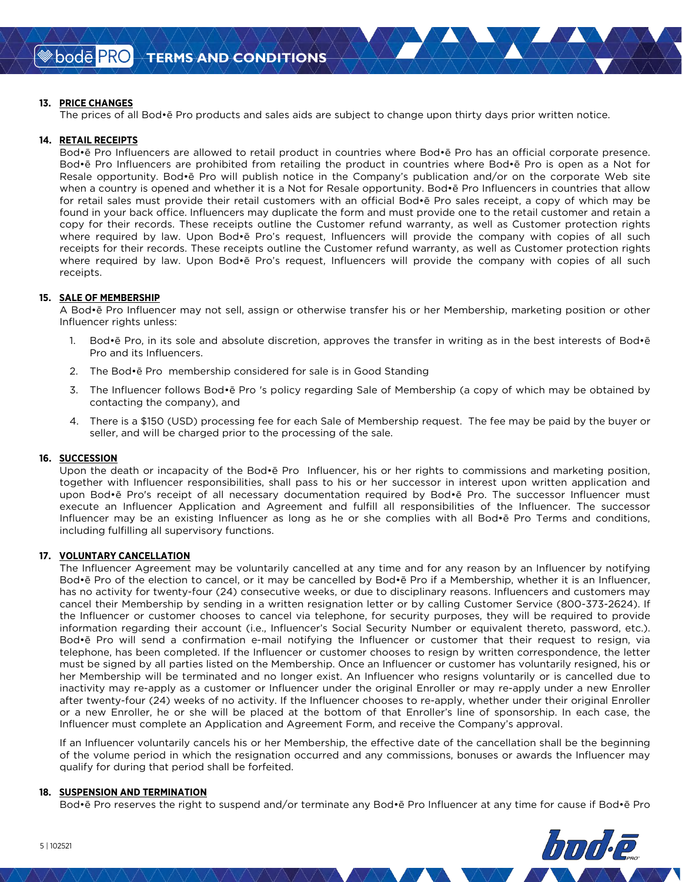### **13. PRICE CHANGES**

The prices of all Bod•ē Pro products and sales aids are subject to change upon thirty days prior written notice.

### **14. RETAIL RECEIPTS**

Bod•ē Pro Influencers are allowed to retail product in countries where Bod•ē Pro has an official corporate presence. Bod•ē Pro Influencers are prohibited from retailing the product in countries where Bod•ē Pro is open as a Not for Resale opportunity. Bod•ē Pro will publish notice in the Company's publication and/or on the corporate Web site when a country is opened and whether it is a Not for Resale opportunity. Bod•ē Pro Influencers in countries that allow for retail sales must provide their retail customers with an official Bod•ē Pro sales receipt, a copy of which may be found in your back office. Influencers may duplicate the form and must provide one to the retail customer and retain a copy for their records. These receipts outline the Customer refund warranty, as well as Customer protection rights where required by law. Upon Bod•ē Pro's request, Influencers will provide the company with copies of all such receipts for their records. These receipts outline the Customer refund warranty, as well as Customer protection rights where required by law. Upon Bod•ē Pro's request, Influencers will provide the company with copies of all such receipts.

### **15. SALE OF MEMBERSHIP**

A Bod•ē Pro Influencer may not sell, assign or otherwise transfer his or her Membership, marketing position or other Influencer rights unless:

- 1. Bod•ē Pro, in its sole and absolute discretion, approves the transfer in writing as in the best interests of Bod•ē Pro and its Influencers.
- 2. The Bod•ē Pro membership considered for sale is in Good Standing
- 3. The Influencer follows Bod•ē Pro 's policy regarding Sale of Membership (a copy of which may be obtained by contacting the company), and
- 4. There is a \$150 (USD) processing fee for each Sale of Membership request. The fee may be paid by the buyer or seller, and will be charged prior to the processing of the sale.

### **16. SUCCESSION**

Upon the death or incapacity of the Bod•ē Pro Influencer, his or her rights to commissions and marketing position, together with Influencer responsibilities, shall pass to his or her successor in interest upon written application and upon Bod•ē Pro's receipt of all necessary documentation required by Bod•ē Pro. The successor Influencer must execute an Influencer Application and Agreement and fulfill all responsibilities of the Influencer. The successor Influencer may be an existing Influencer as long as he or she complies with all Bod•ē Pro Terms and conditions, including fulfilling all supervisory functions.

### **17. VOLUNTARY CANCELLATION**

The Influencer Agreement may be voluntarily cancelled at any time and for any reason by an Influencer by notifying Bod•ē Pro of the election to cancel, or it may be cancelled by Bod•ē Pro if a Membership, whether it is an Influencer, has no activity for twenty-four (24) consecutive weeks, or due to disciplinary reasons. Influencers and customers may cancel their Membership by sending in a written resignation letter or by calling Customer Service (800-373-2624). If the Influencer or customer chooses to cancel via telephone, for security purposes, they will be required to provide information regarding their account (i.e., Influencer's Social Security Number or equivalent thereto, password, etc.). Bod•ē Pro will send a confirmation e-mail notifying the Influencer or customer that their request to resign, via telephone, has been completed. If the Influencer or customer chooses to resign by written correspondence, the letter must be signed by all parties listed on the Membership. Once an Influencer or customer has voluntarily resigned, his or her Membership will be terminated and no longer exist. An Influencer who resigns voluntarily or is cancelled due to inactivity may re-apply as a customer or Influencer under the original Enroller or may re-apply under a new Enroller after twenty-four (24) weeks of no activity. If the Influencer chooses to re-apply, whether under their original Enroller or a new Enroller, he or she will be placed at the bottom of that Enroller's line of sponsorship. In each case, the Influencer must complete an Application and Agreement Form, and receive the Company's approval.

If an Influencer voluntarily cancels his or her Membership, the effective date of the cancellation shall be the beginning of the volume period in which the resignation occurred and any commissions, bonuses or awards the Influencer may qualify for during that period shall be forfeited.

#### **18. SUSPENSION AND TERMINATION**

Bod•ē Pro reserves the right to suspend and/or terminate any Bod•ē Pro Influencer at any time for cause if Bod•ē Pro

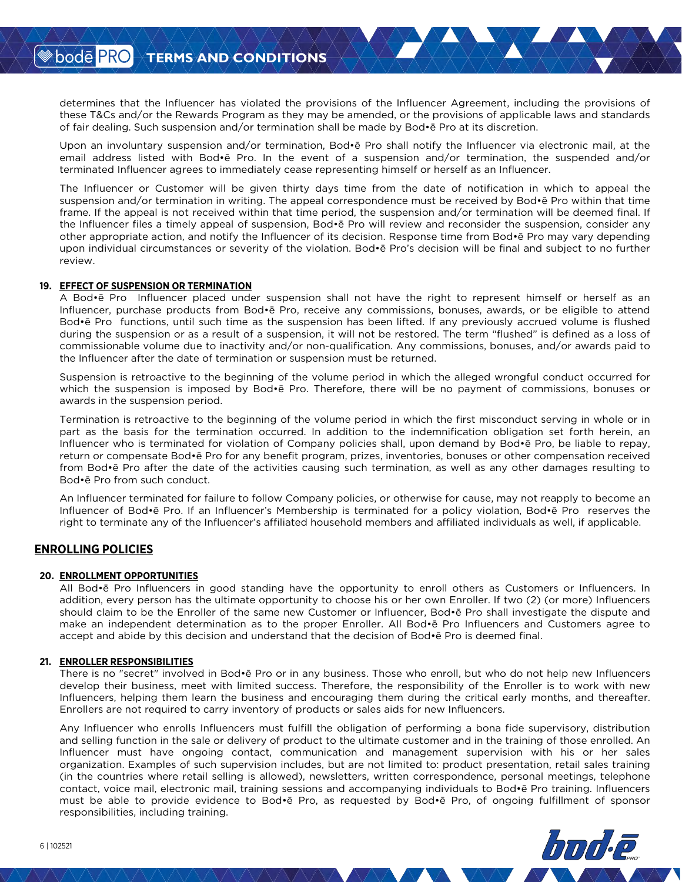determines that the Influencer has violated the provisions of the Influencer Agreement, including the provisions of these T&Cs and/or the Rewards Program as they may be amended, or the provisions of applicable laws and standards of fair dealing. Such suspension and/or termination shall be made by Bod•ē Pro at its discretion.

Upon an involuntary suspension and/or termination, Bod•ē Pro shall notify the Influencer via electronic mail, at the email address listed with Bod•ē Pro. In the event of a suspension and/or termination, the suspended and/or terminated Influencer agrees to immediately cease representing himself or herself as an Influencer.

The Influencer or Customer will be given thirty days time from the date of notification in which to appeal the suspension and/or termination in writing. The appeal correspondence must be received by Bod•ē Pro within that time frame. If the appeal is not received within that time period, the suspension and/or termination will be deemed final. If the Influencer files a timely appeal of suspension, Bod•ē Pro will review and reconsider the suspension, consider any other appropriate action, and notify the Influencer of its decision. Response time from Bod•ē Pro may vary depending upon individual circumstances or severity of the violation. Bod•ē Pro's decision will be final and subject to no further review.

### **19. EFFECT OF SUSPENSION OR TERMINATION**

A Bod•ē Pro Influencer placed under suspension shall not have the right to represent himself or herself as an Influencer, purchase products from Bod•ē Pro, receive any commissions, bonuses, awards, or be eligible to attend Bod•ē Pro functions, until such time as the suspension has been lifted. If any previously accrued volume is flushed during the suspension or as a result of a suspension, it will not be restored. The term "flushed" is defined as a loss of commissionable volume due to inactivity and/or non-qualification. Any commissions, bonuses, and/or awards paid to the Influencer after the date of termination or suspension must be returned.

Suspension is retroactive to the beginning of the volume period in which the alleged wrongful conduct occurred for which the suspension is imposed by Bod•ē Pro. Therefore, there will be no payment of commissions, bonuses or awards in the suspension period.

Termination is retroactive to the beginning of the volume period in which the first misconduct serving in whole or in part as the basis for the termination occurred. In addition to the indemnification obligation set forth herein, an Influencer who is terminated for violation of Company policies shall, upon demand by Bod•ē Pro, be liable to repay, return or compensate Bod•ē Pro for any benefit program, prizes, inventories, bonuses or other compensation received from Bod•ē Pro after the date of the activities causing such termination, as well as any other damages resulting to Bod•ē Pro from such conduct.

An Influencer terminated for failure to follow Company policies, or otherwise for cause, may not reapply to become an Influencer of Bod•ē Pro. If an Influencer's Membership is terminated for a policy violation, Bod•ē Pro reserves the right to terminate any of the Influencer's affiliated household members and affiliated individuals as well, if applicable.

### **ENROLLING POLICIES**

#### **20. ENROLLMENT OPPORTUNITIES**

All Bod•ē Pro Influencers in good standing have the opportunity to enroll others as Customers or Influencers. In addition, every person has the ultimate opportunity to choose his or her own Enroller. If two (2) (or more) Influencers should claim to be the Enroller of the same new Customer or Influencer, Bod•ē Pro shall investigate the dispute and make an independent determination as to the proper Enroller. All Bod•ē Pro Influencers and Customers agree to accept and abide by this decision and understand that the decision of Bod•ē Pro is deemed final.

#### **21. ENROLLER RESPONSIBILITIES**

There is no "secret" involved in Bod•ē Pro or in any business. Those who enroll, but who do not help new Influencers develop their business, meet with limited success. Therefore, the responsibility of the Enroller is to work with new Influencers, helping them learn the business and encouraging them during the critical early months, and thereafter. Enrollers are not required to carry inventory of products or sales aids for new Influencers.

Any Influencer who enrolls Influencers must fulfill the obligation of performing a bona fide supervisory, distribution and selling function in the sale or delivery of product to the ultimate customer and in the training of those enrolled. An Influencer must have ongoing contact, communication and management supervision with his or her sales organization. Examples of such supervision includes, but are not limited to: product presentation, retail sales training (in the countries where retail selling is allowed), newsletters, written correspondence, personal meetings, telephone contact, voice mail, electronic mail, training sessions and accompanying individuals to Bod•ē Pro training. Influencers must be able to provide evidence to Bod•ē Pro, as requested by Bod•ē Pro, of ongoing fulfillment of sponsor responsibilities, including training.

**≫bodē PRO**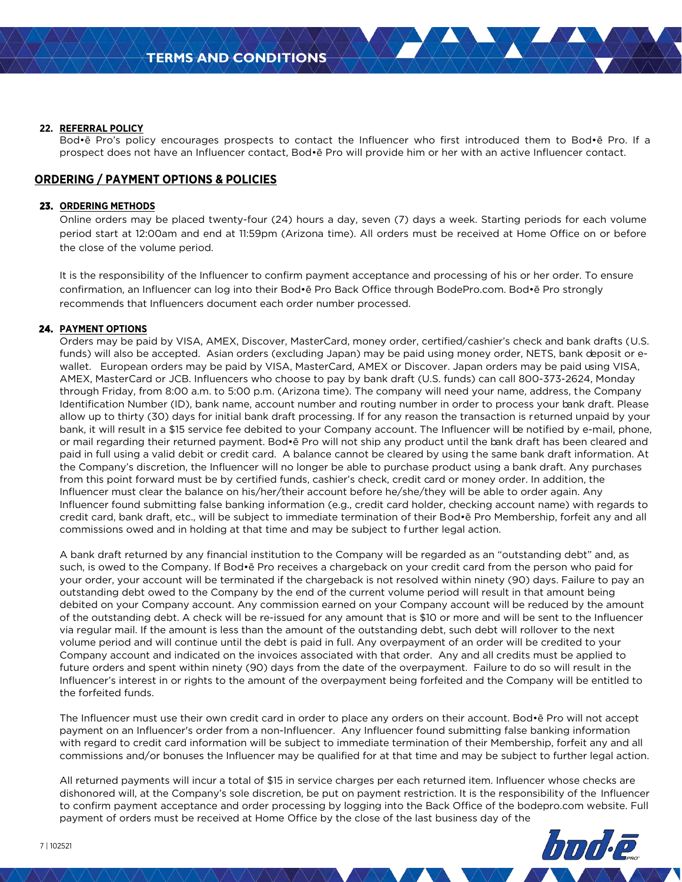### **22. REFERRAL POLICY**

Bod•ē Pro's policy encourages prospects to contact the Influencer who first introduced them to Bod•ē Pro. If a prospect does not have an Influencer contact, Bod•ē Pro will provide him or her with an active Influencer contact.

# **ORDERING / PAYMENT OPTIONS & POLICIES**

### **23. ORDERING METHODS**

Online orders may be placed twenty-four (24) hours a day, seven (7) days a week. Starting periods for each volume period start at 12:00am and end at 11:59pm (Arizona time). All orders must be received at Home Office on or before the close of the volume period.

It is the responsibility of the Influencer to confirm payment acceptance and processing of his or her order. To ensure confirmation, an Influencer can log into their Bod•ē Pro Back Office through BodePro.com. Bod•ē Pro strongly recommends that Influencers document each order number processed.

### **24. PAYMENT OPTIONS**

Orders may be paid by VISA, AMEX, Discover, MasterCard, money order, certified/cashier's check and bank drafts (U.S. funds) will also be accepted. Asian orders (excluding Japan) may be paid using money order, NETS, bank deposit or ewallet. European orders may be paid by VISA, MasterCard, AMEX or Discover. Japan orders may be paid using VISA, AMEX, MasterCard or JCB. Influencers who choose to pay by bank draft (U.S. funds) can call 800-373-2624, Monday through Friday, from 8:00 a.m. to 5:00 p.m. (Arizona time). The company will need your name, address, the Company Identification Number (ID), bank name, account number and routing number in order to process your bank draft. Please allow up to thirty (30) days for initial bank draft processing. If for any reason the transaction is returned unpaid by your bank, it will result in a \$15 service fee debited to your Company account. The Influencer will be notified by e-mail, phone, or mail regarding their returned payment. Bod•ē Pro will not ship any product until the bank draft has been cleared and paid in full using a valid debit or credit card. A balance cannot be cleared by using the same bank draft information. At the Company's discretion, the Influencer will no longer be able to purchase product using a bank draft. Any purchases from this point forward must be by certified funds, cashier's check, credit card or money order. In addition, the Influencer must clear the balance on his/her/their account before he/she/they will be able to order again. Any Influencer found submitting false banking information (e.g., credit card holder, checking account name) with regards to credit card, bank draft, etc., will be subject to immediate termination of their B od•ē Pro Membership, forfeit any and all commissions owed and in holding at that time and may be subject to further legal action.

A bank draft returned by any financial institution to the Company will be regarded as an "outstanding debt" and, as such, is owed to the Company. If Bod•ē Pro receives a chargeback on your credit card from the person who paid for your order, your account will be terminated if the chargeback is not resolved within ninety (90) days. Failure to pay an outstanding debt owed to the Company by the end of the current volume period will result in that amount being debited on your Company account. Any commission earned on your Company account will be reduced by the amount of the outstanding debt. A check will be re-issued for any amount that is \$10 or more and will be sent to the Influencer via regular mail. If the amount is less than the amount of the outstanding debt, such debt will rollover to the next volume period and will continue until the debt is paid in full. Any overpayment of an order will be credited to your Company account and indicated on the invoices associated with that order. Any and all credits must be applied to future orders and spent within ninety (90) days from the date of the overpayment. Failure to do so will result in the Influencer's interest in or rights to the amount of the overpayment being forfeited and the Company will be entitled to the forfeited funds.

The Influencer must use their own credit card in order to place any orders on their account. Bod•ē Pro will not accept payment on an Influencer's order from a non-Influencer. Any Influencer found submitting false banking information with regard to credit card information will be subject to immediate termination of their Membership, forfeit any and all commissions and/or bonuses the Influencer may be qualified for at that time and may be subject to further legal action.

All returned payments will incur a total of \$15 in service charges per each returned item. Influencer whose checks are dishonored will, at the Company's sole discretion, be put on payment restriction. It is the responsibility of the Influencer to confirm payment acceptance and order processing by logging into the Back Office of the bodepro.com website. Full payment of orders must be received at Home Office by the close of the last business day of the

**≫bodē PRO**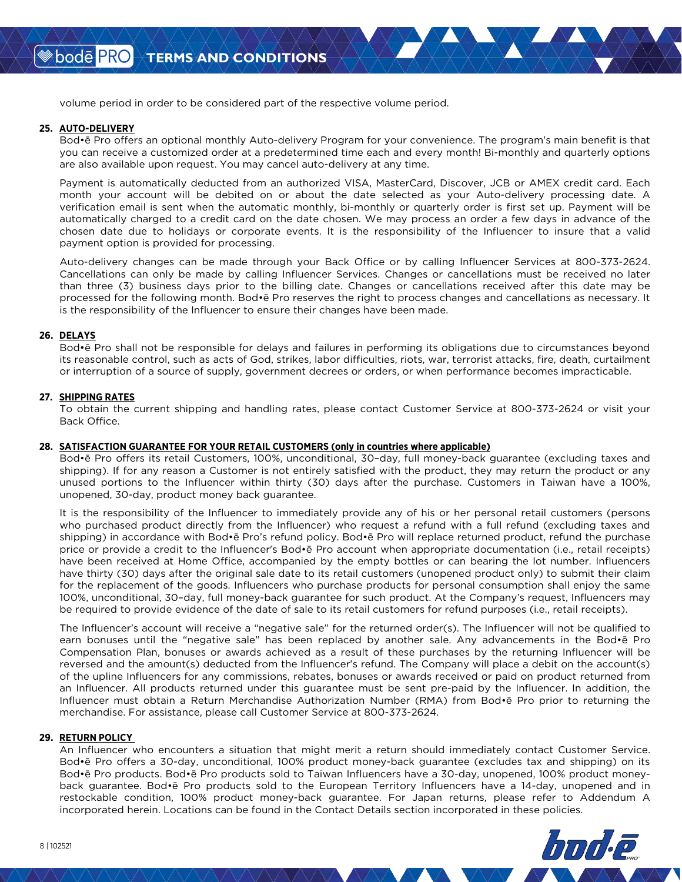volume period in order to be considered part of the respective volume period.

#### **25. AUTO-DELIVERY**

Bod•ē Pro offers an optional monthly Auto-delivery Program for your convenience. The program's main benefit is that you can receive a customized order at a predetermined time each and every month! Bi-monthly and quarterly options are also available upon request. You may cancel auto-delivery at any time.

Payment is automatically deducted from an authorized VISA, MasterCard, Discover, JCB or AMEX credit card. Each month your account will be debited on or about the date selected as your Auto-delivery processing date. A verification email is sent when the automatic monthly, bi-monthly or quarterly order is first set up. Payment will be automatically charged to a credit card on the date chosen. We may process an order a few days in advance of the chosen date due to holidays or corporate events. It is the responsibility of the Influencer to insure that a valid payment option is provided for processing.

Auto-delivery changes can be made through your Back Office or by calling Influencer Services at 800-373-2624. Cancellations can only be made by calling Influencer Services. Changes or cancellations must be received no later than three (3) business days prior to the billing date. Changes or cancellations received after this date may be processed for the following month. Bod•ē Pro reserves the right to process changes and cancellations as necessary. It is the responsibility of the Influencer to ensure their changes have been made.

#### **26. DELAYS**

Bod•ē Pro shall not be responsible for delays and failures in performing its obligations due to circumstances beyond its reasonable control, such as acts of God, strikes, labor difficulties, riots, war, terrorist attacks, fire, death, curtailment or interruption of a source of supply, government decrees or orders, or when performance becomes impracticable.

#### **27. SHIPPING RATES**

To obtain the current shipping and handling rates, please contact Customer Service at 800-373-2624 or visit your Back Office.

#### **28. SATISFACTION GUARANTEE FOR YOUR RETAIL CUSTOMERS (only in countries where applicable)**

Bod•ē Pro offers its retail Customers, 100%, unconditional, 30–day, full money-back guarantee (excluding taxes and shipping). If for any reason a Customer is not entirely satisfied with the product, they may return the product or any unused portions to the Influencer within thirty (30) days after the purchase. Customers in Taiwan have a 100%, unopened, 30-day, product money back guarantee.

It is the responsibility of the Influencer to immediately provide any of his or her personal retail customers (persons who purchased product directly from the Influencer) who request a refund with a full refund (excluding taxes and shipping) in accordance with Bod•ē Pro's refund policy. Bod•ē Pro will replace returned product, refund the purchase price or provide a credit to the Influencer's Bod•ē Pro account when appropriate documentation (i.e., retail receipts) have been received at Home Office, accompanied by the empty bottles or can bearing the lot number. Influencers have thirty (30) days after the original sale date to its retail customers (unopened product only) to submit their claim for the replacement of the goods. Influencers who purchase products for personal consumption shall enjoy the same 100%, unconditional, 30–day, full money-back guarantee for such product. At the Company's request, Influencers may be required to provide evidence of the date of sale to its retail customers for refund purposes (i.e., retail receipts).

The Influencer's account will receive a "negative sale" for the returned order(s). The Influencer will not be qualified to earn bonuses until the "negative sale" has been replaced by another sale. Any advancements in the Bod•ē Pro Compensation Plan, bonuses or awards achieved as a result of these purchases by the returning Influencer will be reversed and the amount(s) deducted from the Influencer's refund. The Company will place a debit on the account(s) of the upline Influencers for any commissions, rebates, bonuses or awards received or paid on product returned from an Influencer. All products returned under this guarantee must be sent pre-paid by the Influencer. In addition, the Influencer must obtain a Return Merchandise Authorization Number (RMA) from Bod•ē Pro prior to returning the merchandise. For assistance, please call Customer Service at 800-373-2624.

#### **29. RETURN POLICY**

An Influencer who encounters a situation that might merit a return should immediately contact Customer Service. Bod•ē Pro offers a 30-day, unconditional, 100% product money-back guarantee (excludes tax and shipping) on its Bod•ē Pro products. Bod•ē Pro products sold to Taiwan Influencers have a 30-day, unopened, 100% product moneyback guarantee. Bod•ē Pro products sold to the European Territory Influencers have a 14-day, unopened and in restockable condition, 100% product money-back guarantee. For Japan returns, please refer to Addendum A incorporated herein. Locations can be found in the Contact Details section incorporated in these policies.

<sup>≫</sup> bodē PRO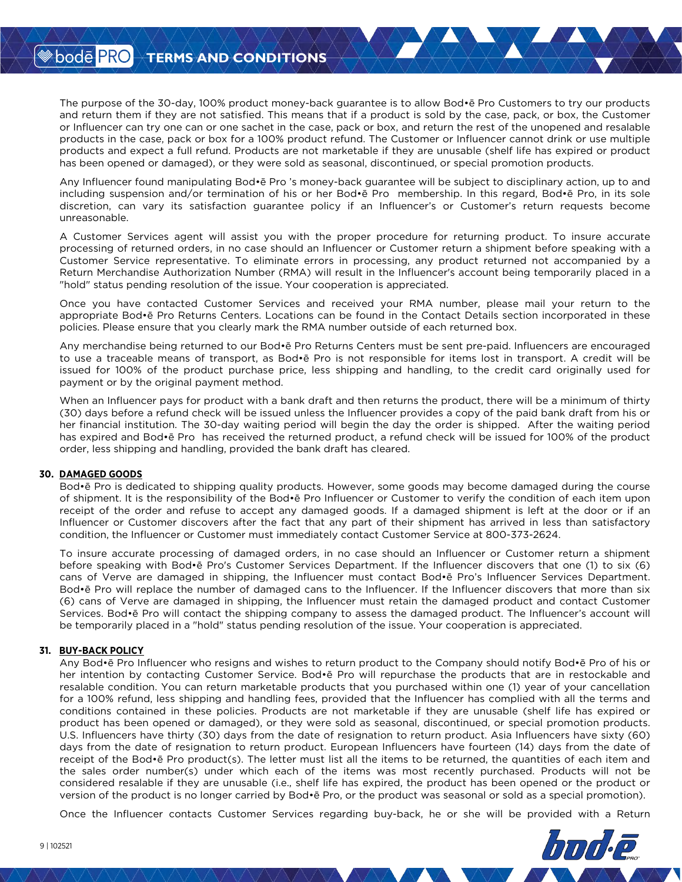The purpose of the 30-day, 100% product money-back guarantee is to allow Bod•ē Pro Customers to try our products and return them if they are not satisfied. This means that if a product is sold by the case, pack, or box, the Customer or Influencer can try one can or one sachet in the case, pack or box, and return the rest of the unopened and resalable products in the case, pack or box for a 100% product refund. The Customer or Influencer cannot drink or use multiple products and expect a full refund. Products are not marketable if they are unusable (shelf life has expired or product has been opened or damaged), or they were sold as seasonal, discontinued, or special promotion products.

Any Influencer found manipulating Bod•ē Pro 's money-back guarantee will be subject to disciplinary action, up to and including suspension and/or termination of his or her Bod•ē Pro membership. In this regard, Bod•ē Pro, in its sole discretion, can vary its satisfaction guarantee policy if an Influencer's or Customer's return requests become unreasonable.

A Customer Services agent will assist you with the proper procedure for returning product. To insure accurate processing of returned orders, in no case should an Influencer or Customer return a shipment before speaking with a Customer Service representative. To eliminate errors in processing, any product returned not accompanied by a Return Merchandise Authorization Number (RMA) will result in the Influencer's account being temporarily placed in a "hold" status pending resolution of the issue. Your cooperation is appreciated.

Once you have contacted Customer Services and received your RMA number, please mail your return to the appropriate Bod•ē Pro Returns Centers. Locations can be found in the Contact Details section incorporated in these policies. Please ensure that you clearly mark the RMA number outside of each returned box.

Any merchandise being returned to our Bod•ē Pro Returns Centers must be sent pre-paid. Influencers are encouraged to use a traceable means of transport, as Bod•ē Pro is not responsible for items lost in transport. A credit will be issued for 100% of the product purchase price, less shipping and handling, to the credit card originally used for payment or by the original payment method.

When an Influencer pays for product with a bank draft and then returns the product, there will be a minimum of thirty (30) days before a refund check will be issued unless the Influencer provides a copy of the paid bank draft from his or her financial institution. The 30-day waiting period will begin the day the order is shipped. After the waiting period has expired and Bod•ē Pro has received the returned product, a refund check will be issued for 100% of the product order, less shipping and handling, provided the bank draft has cleared.

### **30. DAMAGED GOODS**

Bod•ē Pro is dedicated to shipping quality products. However, some goods may become damaged during the course of shipment. It is the responsibility of the Bod•ē Pro Influencer or Customer to verify the condition of each item upon receipt of the order and refuse to accept any damaged goods. If a damaged shipment is left at the door or if an Influencer or Customer discovers after the fact that any part of their shipment has arrived in less than satisfactory condition, the Influencer or Customer must immediately contact Customer Service at 800-373-2624.

To insure accurate processing of damaged orders, in no case should an Influencer or Customer return a shipment before speaking with Bod•ē Pro's Customer Services Department. If the Influencer discovers that one (1) to six (6) cans of Verve are damaged in shipping, the Influencer must contact Bod•ē Pro's Influencer Services Department. Bod•ē Pro will replace the number of damaged cans to the Influencer. If the Influencer discovers that more than six (6) cans of Verve are damaged in shipping, the Influencer must retain the damaged product and contact Customer Services. Bod•ē Pro will contact the shipping company to assess the damaged product. The Influencer's account will be temporarily placed in a "hold" status pending resolution of the issue. Your cooperation is appreciated.

### **31. BUY-BACK POLICY**

Any Bod•ē Pro Influencer who resigns and wishes to return product to the Company should notify Bod•ē Pro of his or her intention by contacting Customer Service. Bod•ē Pro will repurchase the products that are in restockable and resalable condition. You can return marketable products that you purchased within one (1) year of your cancellation for a 100% refund, less shipping and handling fees, provided that the Influencer has complied with all the terms and conditions contained in these policies. Products are not marketable if they are unusable (shelf life has expired or product has been opened or damaged), or they were sold as seasonal, discontinued, or special promotion products. U.S. Influencers have thirty (30) days from the date of resignation to return product. Asia Influencers have sixty (60) days from the date of resignation to return product. European Influencers have fourteen (14) days from the date of receipt of the Bod•ē Pro product(s). The letter must list all the items to be returned, the quantities of each item and the sales order number(s) under which each of the items was most recently purchased. Products will not be considered resalable if they are unusable (i.e., shelf life has expired, the product has been opened or the product or version of the product is no longer carried by Bod•ē Pro, or the product was seasonal or sold as a special promotion).

Once the Influencer contacts Customer Services regarding buy-back, he or she will be provided with a Return

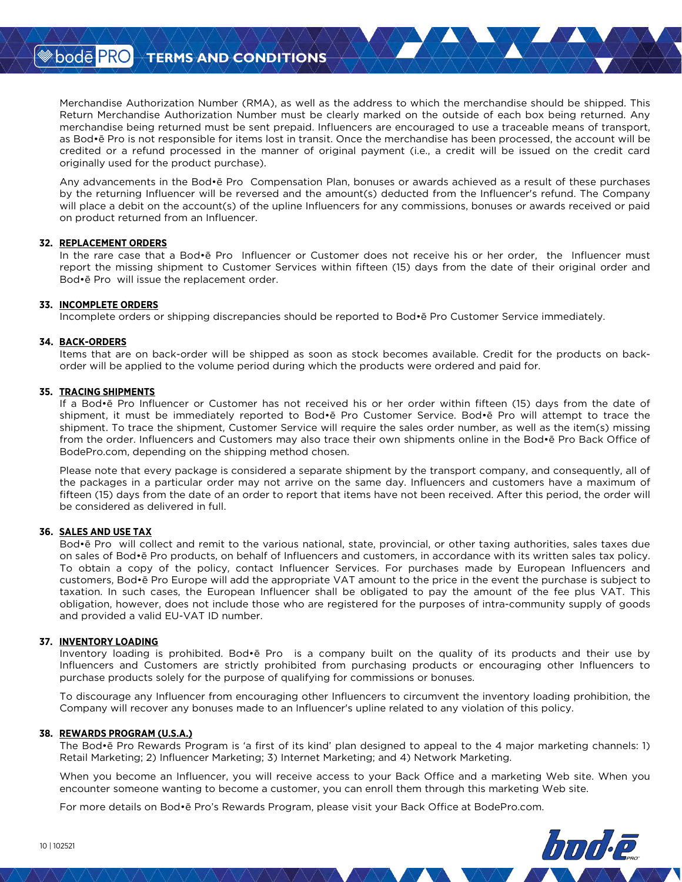Merchandise Authorization Number (RMA), as well as the address to which the merchandise should be shipped. This Return Merchandise Authorization Number must be clearly marked on the outside of each box being returned. Any merchandise being returned must be sent prepaid. Influencers are encouraged to use a traceable means of transport, as Bod•ē Pro is not responsible for items lost in transit. Once the merchandise has been processed, the account will be credited or a refund processed in the manner of original payment (i.e., a credit will be issued on the credit card originally used for the product purchase).

Any advancements in the Bod•ē Pro Compensation Plan, bonuses or awards achieved as a result of these purchases by the returning Influencer will be reversed and the amount(s) deducted from the Influencer's refund. The Company will place a debit on the account(s) of the upline Influencers for any commissions, bonuses or awards received or paid on product returned from an Influencer.

#### **32. REPLACEMENT ORDERS**

In the rare case that a Bod•ē Pro Influencer or Customer does not receive his or her order, the Influencer must report the missing shipment to Customer Services within fifteen (15) days from the date of their original order and Bod•ē Pro will issue the replacement order.

#### **33. INCOMPLETE ORDERS**

Incomplete orders or shipping discrepancies should be reported to Bod•ē Pro Customer Service immediately.

#### **34. BACK-ORDERS**

Items that are on back-order will be shipped as soon as stock becomes available. Credit for the products on backorder will be applied to the volume period during which the products were ordered and paid for.

#### **35. TRACING SHIPMENTS**

If a Bod•ē Pro Influencer or Customer has not received his or her order within fifteen (15) days from the date of shipment, it must be immediately reported to Bod•ē Pro Customer Service. Bod•ē Pro will attempt to trace the shipment. To trace the shipment, Customer Service will require the sales order number, as well as the item(s) missing from the order. Influencers and Customers may also trace their own shipments online in the Bod•ē Pro Back Office of BodePro.com, depending on the shipping method chosen.

Please note that every package is considered a separate shipment by the transport company, and consequently, all of the packages in a particular order may not arrive on the same day. Influencers and customers have a maximum of fifteen (15) days from the date of an order to report that items have not been received. After this period, the order will be considered as delivered in full.

### **36. SALES AND USE TAX**

Bod•ē Pro will collect and remit to the various national, state, provincial, or other taxing authorities, sales taxes due on sales of Bod•ē Pro products, on behalf of Influencers and customers, in accordance with its written sales tax policy. To obtain a copy of the policy, contact Influencer Services. For purchases made by European Influencers and customers, Bod•ē Pro Europe will add the appropriate VAT amount to the price in the event the purchase is subject to taxation. In such cases, the European Influencer shall be obligated to pay the amount of the fee plus VAT. This obligation, however, does not include those who are registered for the purposes of intra-community supply of goods and provided a valid EU-VAT ID number.

#### **37. INVENTORY LOADING**

Inventory loading is prohibited. Bod•ē Pro is a company built on the quality of its products and their use by Influencers and Customers are strictly prohibited from purchasing products or encouraging other Influencers to purchase products solely for the purpose of qualifying for commissions or bonuses.

To discourage any Influencer from encouraging other Influencers to circumvent the inventory loading prohibition, the Company will recover any bonuses made to an Influencer's upline related to any violation of this policy.

#### **38. REWARDS PROGRAM (U.S.A.)**

The Bod•ē Pro Rewards Program is 'a first of its kind' plan designed to appeal to the 4 major marketing channels: 1) Retail Marketing; 2) Influencer Marketing; 3) Internet Marketing; and 4) Network Marketing.

When you become an Influencer, you will receive access to your Back Office and a marketing Web site. When you encounter someone wanting to become a customer, you can enroll them through this marketing Web site.

For more details on Bod•ē Pro's Rewards Program, please visit your Back Office at BodePro.com.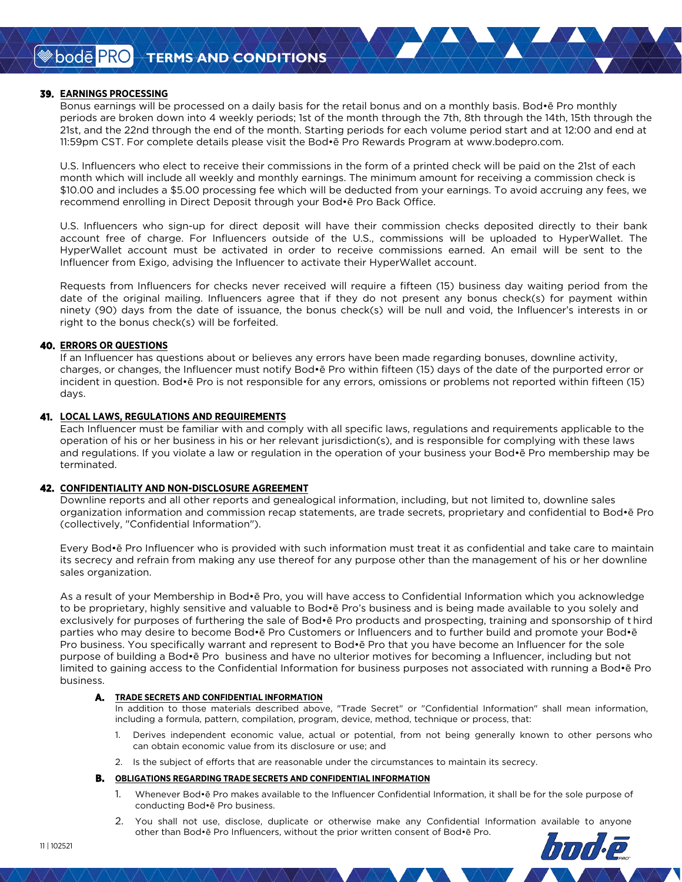### **39. EARNINGS PROCESSING**

Bonus earnings will be processed on a daily basis for the retail bonus and on a monthly basis. Bod•ē Pro monthly periods are broken down into 4 weekly periods; 1st of the month through the 7th, 8th through the 14th, 15th through the 21st, and the 22nd through the end of the month. Starting periods for each volume period start and at 12:00 and end at 11:59pm CST. For complete details please visit the Bod•ē Pro Rewards Program at www.bodepro.com.

U.S. Influencers who elect to receive their commissions in the form of a printed check will be paid on the 21st of each month which will include all weekly and monthly earnings. The minimum amount for receiving a commission check is \$10.00 and includes a \$5.00 processing fee which will be deducted from your earnings. To avoid accruing any fees, we recommend enrolling in Direct Deposit through your Bod•ē Pro Back Office.

U.S. Influencers who sign-up for direct deposit will have their commission checks deposited directly to their bank account free of charge. For Influencers outside of the U.S., commissions will be uploaded to HyperWallet. The HyperWallet account must be activated in order to receive commissions earned. An email will be sent to the Influencer from Exigo, advising the Influencer to activate their HyperWallet account.

Requests from Influencers for checks never received will require a fifteen (15) business day waiting period from the date of the original mailing. Influencers agree that if they do not present any bonus check(s) for payment within ninety (90) days from the date of issuance, the bonus check(s) will be null and void, the Influencer's interests in or right to the bonus check(s) will be forfeited.

### **40. ERRORS OR QUESTIONS**

If an Influencer has questions about or believes any errors have been made regarding bonuses, downline activity, charges, or changes, the Influencer must notify Bod•ē Pro within fifteen (15) days of the date of the purported error or incident in question. Bod•ē Pro is not responsible for any errors, omissions or problems not reported within fifteen (15) days.

### **41. LOCAL LAWS, REGULATIONS AND REQUIREMENTS**

Each Influencer must be familiar with and comply with all specific laws, regulations and requirements applicable to the operation of his or her business in his or her relevant jurisdiction(s), and is responsible for complying with these laws and regulations. If you violate a law or regulation in the operation of your business your Bod•ē Pro membership may be terminated.

### **42. CONFIDENTIALITY AND NON-DISCLOSURE AGREEMENT**

Downline reports and all other reports and genealogical information, including, but not limited to, downline sales organization information and commission recap statements, are trade secrets, proprietary and confidential to Bod•ē Pro (collectively, "Confidential Information").

Every Bod•ē Pro Influencer who is provided with such information must treat it as confidential and take care to maintain its secrecy and refrain from making any use thereof for any purpose other than the management of his or her downline sales organization.

As a result of your Membership in Bod•ē Pro, you will have access to Confidential Information which you acknowledge to be proprietary, highly sensitive and valuable to Bod•ē Pro's business and is being made available to you solely and exclusively for purposes of furthering the sale of Bod•ē Pro products and prospecting, training and sponsorship of t hird parties who may desire to become Bod•ē Pro Customers or Influencers and to further build and promote your Bod•ē Pro business. You specifically warrant and represent to Bod•ē Pro that you have become an Influencer for the sole purpose of building a Bod•ē Pro business and have no ulterior motives for becoming a Influencer, including but not limited to gaining access to the Confidential Information for business purposes not associated with running a Bod•ē Pro business.

#### **A. TRADE SECRETS AND CONFIDENTIAL INFORMATION**

In addition to those materials described above, "Trade Secret" or "Confidential Information" shall mean information, including a formula, pattern, compilation, program, device, method, technique or process, that:

- 1. Derives independent economic value, actual or potential, from not being generally known to other persons who can obtain economic value from its disclosure or use; and
- 2. Is the subject of efforts that are reasonable under the circumstances to maintain its secrecy.

#### **B. OBLIGATIONS REGARDING TRADE SECRETS AND CONFIDENTIAL INFORMATION**

- 1. Whenever Bod•ē Pro makes available to the Influencer Confidential Information, it shall be for the sole purpose of conducting Bod•ē Pro business.
- 2. You shall not use, disclose, duplicate or otherwise make any Confidential Information available to anyone other than Bod•ē Pro Influencers, without the prior written consent of Bod•ē Pro.bode PRC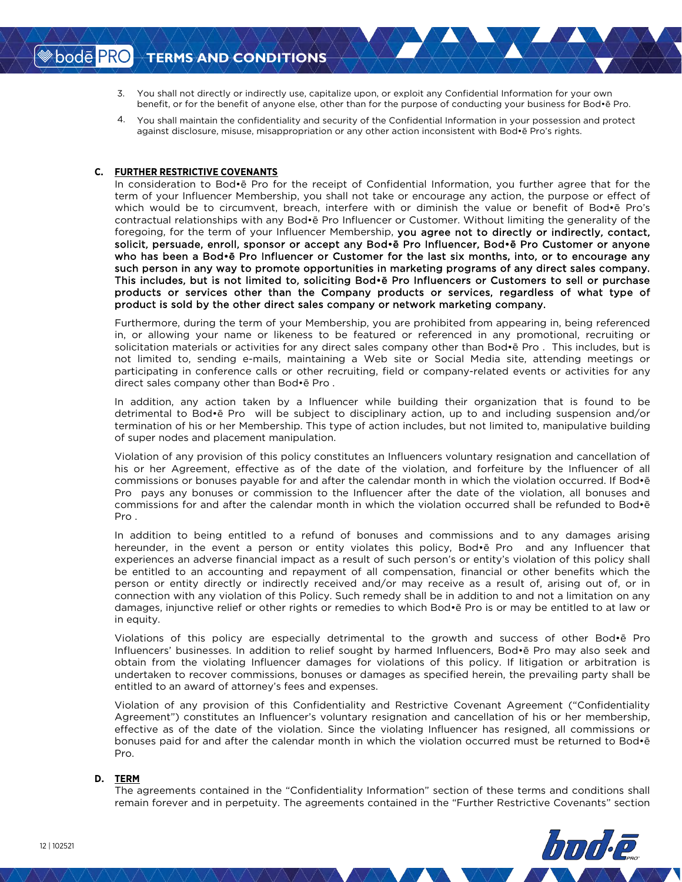- You shall not directly or indirectly use, capitalize upon, or exploit any Confidential Information for your own 3. benefit, or for the benefit of anyone else, other than for the purpose of conducting your business for Bod•ē Pro.
- You shall maintain the confidentiality and security of the Confidential Information in your possession and protect 4.against disclosure, misuse, misappropriation or any other action inconsistent with Bod•ē Pro's rights.

### **C. FURTHER RESTRICTIVE COVENANTS**

In consideration to Bod•ē Pro for the receipt of Confidential Information, you further agree that for the term of your Influencer Membership, you shall not take or encourage any action, the purpose or effect of which would be to circumvent, breach, interfere with or diminish the value or benefit of Bod•ē Pro's contractual relationships with any Bod•ē Pro Influencer or Customer. Without limiting the generality of the foregoing, for the term of your Influencer Membership, you agree not to directly or indirectly, contact, solicit, persuade, enroll, sponsor or accept any Bod•ē Pro Influencer, Bod•ē Pro Customer or anyone who has been a Bod•ē Pro Influencer or Customer for the last six months, into, or to encourage any such person in any way to promote opportunities in marketing programs of any direct sales company. This includes, but is not limited to, soliciting Bod•ē Pro Influencers or Customers to sell or purchase products or services other than the Company products or services, regardless of what type of product is sold by the other direct sales company or network marketing company.

Furthermore, during the term of your Membership, you are prohibited from appearing in, being referenced in, or allowing your name or likeness to be featured or referenced in any promotional, recruiting or solicitation materials or activities for any direct sales company other than Bod•ē Pro . This includes, but is not limited to, sending e-mails, maintaining a Web site or Social Media site, attending meetings or participating in conference calls or other recruiting, field or company-related events or activities for any direct sales company other than Bod•ē Pro .

In addition, any action taken by a Influencer while building their organization that is found to be detrimental to Bod•ē Pro will be subject to disciplinary action, up to and including suspension and/or termination of his or her Membership. This type of action includes, but not limited to, manipulative building of super nodes and placement manipulation.

Violation of any provision of this policy constitutes an Influencers voluntary resignation and cancellation of his or her Agreement, effective as of the date of the violation, and forfeiture by the Influencer of all commissions or bonuses payable for and after the calendar month in which the violation occurred. If Bod•ē Pro pays any bonuses or commission to the Influencer after the date of the violation, all bonuses and commissions for and after the calendar month in which the violation occurred shall be refunded to Bod•ē Pro .

In addition to being entitled to a refund of bonuses and commissions and to any damages arising hereunder, in the event a person or entity violates this policy, Bod•ē Pro and any Influencer that experiences an adverse financial impact as a result of such person's or entity's violation of this policy shall be entitled to an accounting and repayment of all compensation, financial or other benefits which the person or entity directly or indirectly received and/or may receive as a result of, arising out of, or in connection with any violation of this Policy. Such remedy shall be in addition to and not a limitation on any damages, injunctive relief or other rights or remedies to which Bod•ē Pro is or may be entitled to at law or in equity.

Violations of this policy are especially detrimental to the growth and success of other Bod•ē Pro Influencers' businesses. In addition to relief sought by harmed Influencers, Bod•ē Pro may also seek and obtain from the violating Influencer damages for violations of this policy. If litigation or arbitration is undertaken to recover commissions, bonuses or damages as specified herein, the prevailing party shall be entitled to an award of attorney's fees and expenses.

Violation of any provision of this Confidentiality and Restrictive Covenant Agreement ("Confidentiality Agreement") constitutes an Influencer's voluntary resignation and cancellation of his or her membership, effective as of the date of the violation. Since the violating Influencer has resigned, all commissions or bonuses paid for and after the calendar month in which the violation occurred must be returned to Bod•ē Pro.

### **D. TERM**

The agreements contained in the "Confidentiality Information" section of these terms and conditions shall remain forever and in perpetuity. The agreements contained in the "Further Restrictive Covenants" section

San Dode PRO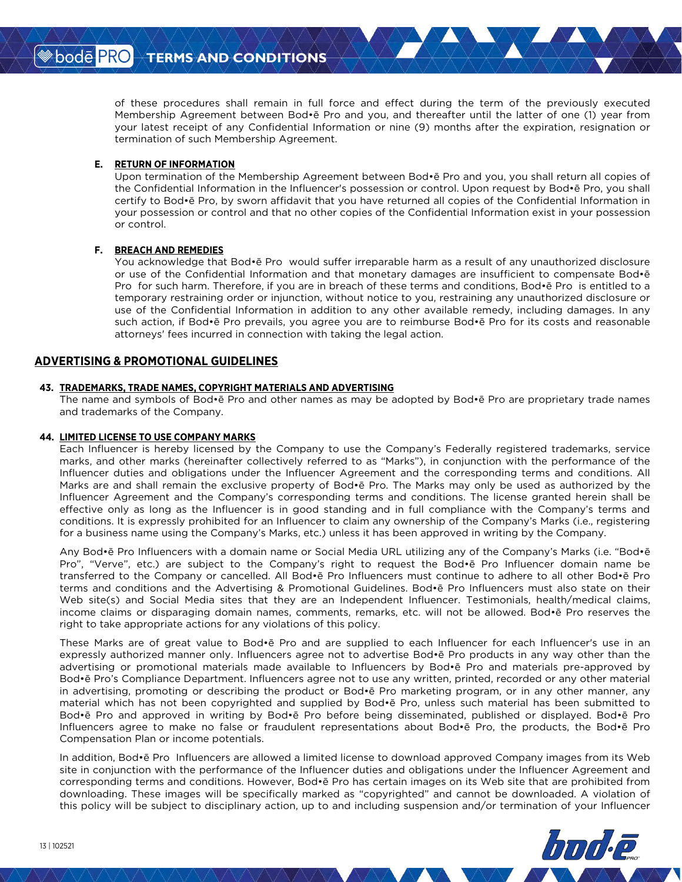of these procedures shall remain in full force and effect during the term of the previously executed Membership Agreement between Bod•ē Pro and you, and thereafter until the latter of one (1) year from your latest receipt of any Confidential Information or nine (9) months after the expiration, resignation or termination of such Membership Agreement.

### **E. RETURN OF INFORMATION**

Upon termination of the Membership Agreement between Bod•ē Pro and you, you shall return all copies of the Confidential Information in the Influencer's possession or control. Upon request by Bod•ē Pro, you shall certify to Bod•ē Pro, by sworn affidavit that you have returned all copies of the Confidential Information in your possession or control and that no other copies of the Confidential Information exist in your possession or control.

### **F. BREACH AND REMEDIES**

You acknowledge that Bod•ē Pro would suffer irreparable harm as a result of any unauthorized disclosure or use of the Confidential Information and that monetary damages are insufficient to compensate Bod•ē Pro for such harm. Therefore, if you are in breach of these terms and conditions, Bod•ē Pro is entitled to a temporary restraining order or injunction, without notice to you, restraining any unauthorized disclosure or use of the Confidential Information in addition to any other available remedy, including damages. In any such action, if Bod•ē Pro prevails, you agree you are to reimburse Bod•ē Pro for its costs and reasonable attorneys' fees incurred in connection with taking the legal action.

## **ADVERTISING & PROMOTIONAL GUIDELINES**

### **43. TRADEMARKS, TRADE NAMES, COPYRIGHT MATERIALS AND ADVERTISING**

The name and symbols of Bod•ē Pro and other names as may be adopted by Bod•ē Pro are proprietary trade names and trademarks of the Company.

### **44. LIMITED LICENSE TO USE COMPANY MARKS**

Each Influencer is hereby licensed by the Company to use the Company's Federally registered trademarks, service marks, and other marks (hereinafter collectively referred to as "Marks"), in conjunction with the performance of the Influencer duties and obligations under the Influencer Agreement and the corresponding terms and conditions. All Marks are and shall remain the exclusive property of Bod•ē Pro. The Marks may only be used as authorized by the Influencer Agreement and the Company's corresponding terms and conditions. The license granted herein shall be effective only as long as the Influencer is in good standing and in full compliance with the Company's terms and conditions. It is expressly prohibited for an Influencer to claim any ownership of the Company's Marks (i.e., registering for a business name using the Company's Marks, etc.) unless it has been approved in writing by the Company.

Any Bod•ē Pro Influencers with a domain name or Social Media URL utilizing any of the Company's Marks (i.e. "Bod•ē Pro", "Verve", etc.) are subject to the Company's right to request the Bod•ē Pro Influencer domain name be transferred to the Company or cancelled. All Bod•ē Pro Influencers must continue to adhere to all other Bod•ē Pro terms and conditions and the Advertising & Promotional Guidelines. Bod•ē Pro Influencers must also state on their Web site(s) and Social Media sites that they are an Independent Influencer. Testimonials, health/medical claims, income claims or disparaging domain names, comments, remarks, etc. will not be allowed. Bod•ē Pro reserves the right to take appropriate actions for any violations of this policy.

These Marks are of great value to Bod•ē Pro and are supplied to each Influencer for each Influencer's use in an expressly authorized manner only. Influencers agree not to advertise Bod•ē Pro products in any way other than the advertising or promotional materials made available to Influencers by Bod•ē Pro and materials pre-approved by Bod•ē Pro's Compliance Department. Influencers agree not to use any written, printed, recorded or any other material in advertising, promoting or describing the product or Bod•ē Pro marketing program, or in any other manner, any material which has not been copyrighted and supplied by Bod•ē Pro, unless such material has been submitted to Bod•ē Pro and approved in writing by Bod•ē Pro before being disseminated, published or displayed. Bod•ē Pro Influencers agree to make no false or fraudulent representations about Bod•ē Pro, the products, the Bod•ē Pro Compensation Plan or income potentials.

In addition, Bod•ē Pro Influencers are allowed a limited license to download approved Company images from its Web site in conjunction with the performance of the Influencer duties and obligations under the Influencer Agreement and corresponding terms and conditions. However, Bod•ē Pro has certain images on its Web site that are prohibited from downloading. These images will be specifically marked as "copyrighted" and cannot be downloaded. A violation of this policy will be subject to disciplinary action, up to and including suspension and/or termination of your Influencer

San Dode PRO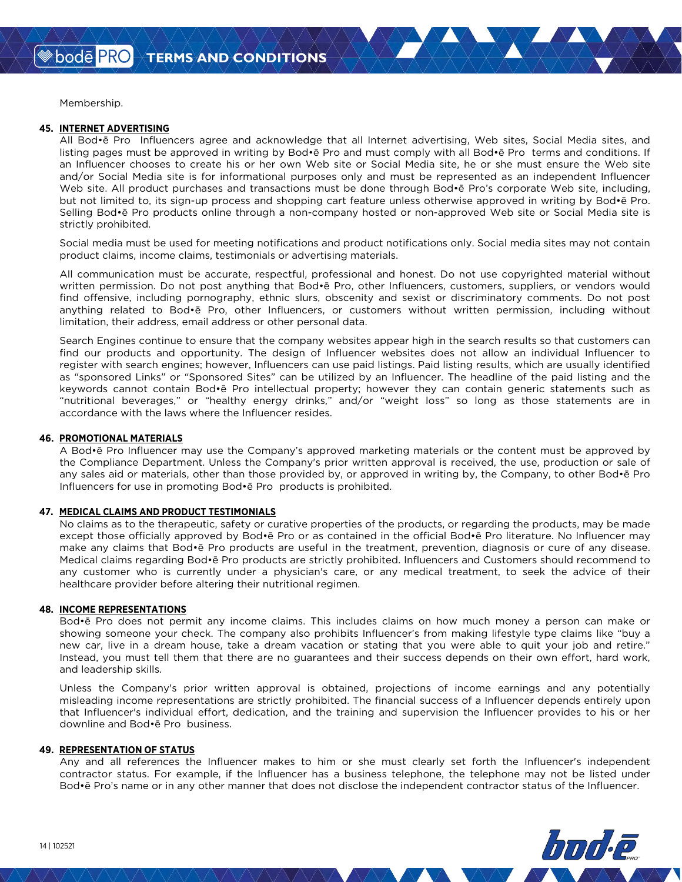Membership.

#### **45. INTERNET ADVERTISING**

All Bod•ē Pro Influencers agree and acknowledge that all Internet advertising, Web sites, Social Media sites, and listing pages must be approved in writing by Bod•ē Pro and must comply with all Bod•ē Pro terms and conditions. If an Influencer chooses to create his or her own Web site or Social Media site, he or she must ensure the Web site and/or Social Media site is for informational purposes only and must be represented as an independent Influencer Web site. All product purchases and transactions must be done through Bod•ē Pro's corporate Web site, including, but not limited to, its sign-up process and shopping cart feature unless otherwise approved in writing by Bod•ē Pro. Selling Bod•ē Pro products online through a non-company hosted or non-approved Web site or Social Media site is strictly prohibited.

Social media must be used for meeting notifications and product notifications only. Social media sites may not contain product claims, income claims, testimonials or advertising materials.

All communication must be accurate, respectful, professional and honest. Do not use copyrighted material without written permission. Do not post anything that Bod•ē Pro, other Influencers, customers, suppliers, or vendors would find offensive, including pornography, ethnic slurs, obscenity and sexist or discriminatory comments. Do not post anything related to Bod•ē Pro, other Influencers, or customers without written permission, including without limitation, their address, email address or other personal data.

Search Engines continue to ensure that the company websites appear high in the search results so that customers can find our products and opportunity. The design of Influencer websites does not allow an individual Influencer to register with search engines; however, Influencers can use paid listings. Paid listing results, which are usually identified as "sponsored Links" or "Sponsored Sites" can be utilized by an Influencer. The headline of the paid listing and the keywords cannot contain Bod•ē Pro intellectual property; however they can contain generic statements such as "nutritional beverages," or "healthy energy drinks," and/or "weight loss" so long as those statements are in accordance with the laws where the Influencer resides.

#### **46. PROMOTIONAL MATERIALS**

A Bod•ē Pro Influencer may use the Company's approved marketing materials or the content must be approved by the Compliance Department. Unless the Company's prior written approval is received, the use, production or sale of any sales aid or materials, other than those provided by, or approved in writing by, the Company, to other Bod•ē Pro Influencers for use in promoting Bod•ē Pro products is prohibited.

### **47. MEDICAL CLAIMS AND PRODUCT TESTIMONIALS**

No claims as to the therapeutic, safety or curative properties of the products, or regarding the products, may be made except those officially approved by Bod•ē Pro or as contained in the official Bod•ē Pro literature. No Influencer may make any claims that Bod•ē Pro products are useful in the treatment, prevention, diagnosis or cure of any disease. Medical claims regarding Bod•ē Pro products are strictly prohibited. Influencers and Customers should recommend to any customer who is currently under a physician's care, or any medical treatment, to seek the advice of their healthcare provider before altering their nutritional regimen.

### **48. INCOME REPRESENTATIONS**

Bod•ē Pro does not permit any income claims. This includes claims on how much money a person can make or showing someone your check. The company also prohibits Influencer's from making lifestyle type claims like "buy a new car, live in a dream house, take a dream vacation or stating that you were able to quit your job and retire." Instead, you must tell them that there are no guarantees and their success depends on their own effort, hard work, and leadership skills.

Unless the Company's prior written approval is obtained, projections of income earnings and any potentially misleading income representations are strictly prohibited. The financial success of a Influencer depends entirely upon that Influencer's individual effort, dedication, and the training and supervision the Influencer provides to his or her downline and Bod•ē Pro business.

#### **49. REPRESENTATION OF STATUS**

Any and all references the Influencer makes to him or she must clearly set forth the Influencer's independent contractor status. For example, if the Influencer has a business telephone, the telephone may not be listed under Bod•ē Pro's name or in any other manner that does not disclose the independent contractor status of the Influencer.

San bodē PRO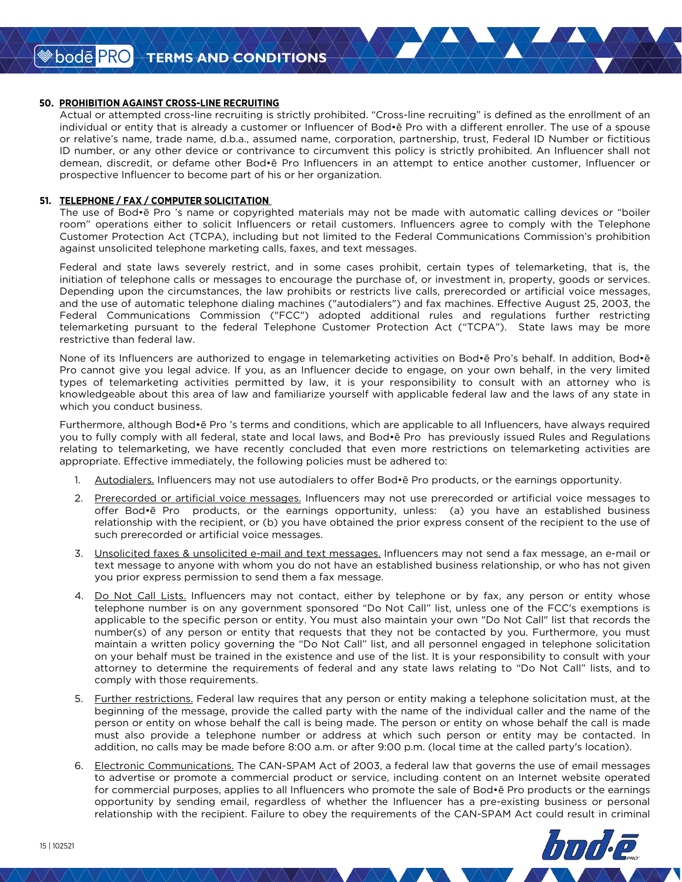#### **50. PROHIBITION AGAINST CROSS-LINE RECRUITING**

Actual or attempted cross-line recruiting is strictly prohibited. "Cross-line recruiting" is defined as the enrollment of an individual or entity that is already a customer or Influencer of Bod•ē Pro with a different enroller. The use of a spouse or relative's name, trade name, d.b.a., assumed name, corporation, partnership, trust, Federal ID Number or fictitious ID number, or any other device or contrivance to circumvent this policy is strictly prohibited. An Influencer shall not demean, discredit, or defame other Bod•ē Pro Influencers in an attempt to entice another customer, Influencer or prospective Influencer to become part of his or her organization.

#### **51. TELEPHONE / FAX / COMPUTER SOLICITATION**

The use of Bod•ē Pro 's name or copyrighted materials may not be made with automatic calling devices or "boiler room" operations either to solicit Influencers or retail customers. Influencers agree to comply with the Telephone Customer Protection Act (TCPA), including but not limited to the Federal Communications Commission's prohibition against unsolicited telephone marketing calls, faxes, and text messages.

Federal and state laws severely restrict, and in some cases prohibit, certain types of telemarketing, that is, the initiation of telephone calls or messages to encourage the purchase of, or investment in, property, goods or services. Depending upon the circumstances, the law prohibits or restricts live calls, prerecorded or artificial voice messages, and the use of automatic telephone dialing machines ("autodialers") and fax machines. Effective August 25, 2003, the Federal Communications Commission ("FCC") adopted additional rules and regulations further restricting telemarketing pursuant to the federal Telephone Customer Protection Act ("TCPA"). State laws may be more restrictive than federal law.

None of its Influencers are authorized to engage in telemarketing activities on Bod•ē Pro's behalf. In addition, Bod•ē Pro cannot give you legal advice. If you, as an Influencer decide to engage, on your own behalf, in the very limited types of telemarketing activities permitted by law, it is your responsibility to consult with an attorney who is knowledgeable about this area of law and familiarize yourself with applicable federal law and the laws of any state in which you conduct business.

Furthermore, although Bod•ē Pro 's terms and conditions, which are applicable to all Influencers, have always required you to fully comply with all federal, state and local laws, and Bod•ē Pro has previously issued Rules and Regulations relating to telemarketing, we have recently concluded that even more restrictions on telemarketing activities are appropriate. Effective immediately, the following policies must be adhered to:

- 1. Autodialers. Influencers may not use autodialers to offer Bod•ē Pro products, or the earnings opportunity.
- 2. Prerecorded or artificial voice messages. Influencers may not use prerecorded or artificial voice messages to offer Bod•ē Pro products, or the earnings opportunity, unless: (a) you have an established business relationship with the recipient, or (b) you have obtained the prior express consent of the recipient to the use of such prerecorded or artificial voice messages.
- 3. Unsolicited faxes & unsolicited e-mail and text messages. Influencers may not send a fax message, an e-mail or text message to anyone with whom you do not have an established business relationship, or who has not given you prior express permission to send them a fax message.
- 4. Do Not Call Lists. Influencers may not contact, either by telephone or by fax, any person or entity whose telephone number is on any government sponsored "Do Not Call" list, unless one of the FCC's exemptions is applicable to the specific person or entity. You must also maintain your own "Do Not Call" list that records the number(s) of any person or entity that requests that they not be contacted by you. Furthermore, you must maintain a written policy governing the "Do Not Call" list, and all personnel engaged in telephone solicitation on your behalf must be trained in the existence and use of the list. It is your responsibility to consult with your attorney to determine the requirements of federal and any state laws relating to "Do Not Call" lists, and to comply with those requirements.
- 5. Further restrictions. Federal law requires that any person or entity making a telephone solicitation must, at the beginning of the message, provide the called party with the name of the individual caller and the name of the person or entity on whose behalf the call is being made. The person or entity on whose behalf the call is made must also provide a telephone number or address at which such person or entity may be contacted. In addition, no calls may be made before 8:00 a.m. or after 9:00 p.m. (local time at the called party's location).
- 6. Electronic Communications. The CAN-SPAM Act of 2003, a federal law that governs the use of email messages to advertise or promote a commercial product or service, including content on an Internet website operated for commercial purposes, applies to all Influencers who promote the sale of Bod•ē Pro products or the earnings opportunity by sending email, regardless of whether the Influencer has a pre-existing business or personal relationship with the recipient. Failure to obey the requirements of the CAN-SPAM Act could result in criminal

 $\bullet$  bode PRO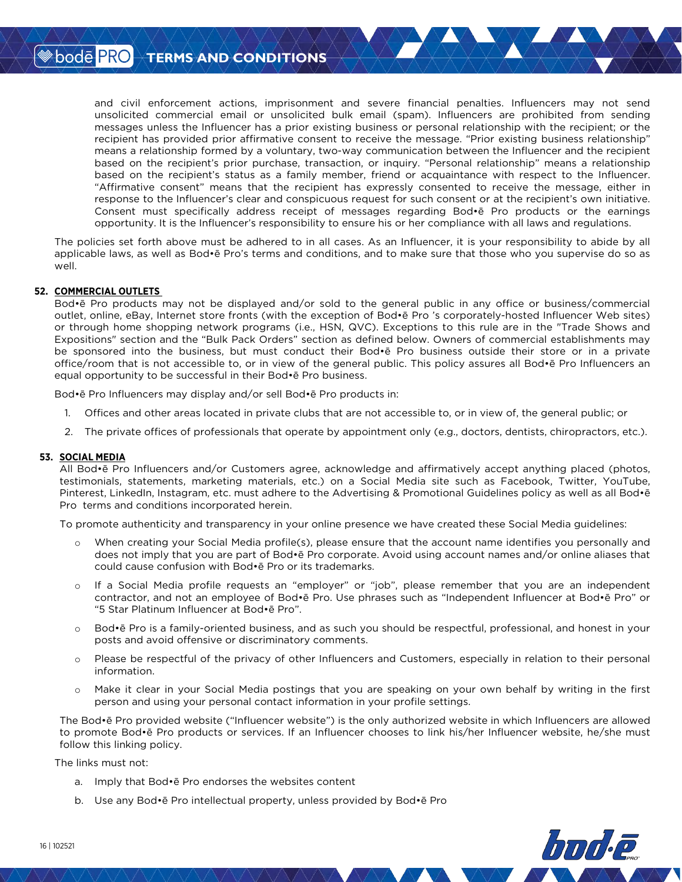and civil enforcement actions, imprisonment and severe financial penalties. Influencers may not send unsolicited commercial email or unsolicited bulk email (spam). Influencers are prohibited from sending messages unless the Influencer has a prior existing business or personal relationship with the recipient; or the recipient has provided prior affirmative consent to receive the message. "Prior existing business relationship" means a relationship formed by a voluntary, two-way communication between the Influencer and the recipient based on the recipient's prior purchase, transaction, or inquiry. "Personal relationship" means a relationship based on the recipient's status as a family member, friend or acquaintance with respect to the Influencer. "Affirmative consent" means that the recipient has expressly consented to receive the message, either in response to the Influencer's clear and conspicuous request for such consent or at the recipient's own initiative. Consent must specifically address receipt of messages regarding Bod•ē Pro products or the earnings opportunity. It is the Influencer's responsibility to ensure his or her compliance with all laws and regulations.

The policies set forth above must be adhered to in all cases. As an Influencer, it is your responsibility to abide by all applicable laws, as well as Bod•ē Pro's terms and conditions, and to make sure that those who you supervise do so as well.

### **52. COMMERCIAL OUTLETS**

Bod•ē Pro products may not be displayed and/or sold to the general public in any office or business/commercial outlet, online, eBay, Internet store fronts (with the exception of Bod•ē Pro 's corporately-hosted Influencer Web sites) or through home shopping network programs (i.e., HSN, QVC). Exceptions to this rule are in the "Trade Shows and Expositions" section and the "Bulk Pack Orders" section as defined below. Owners of commercial establishments may be sponsored into the business, but must conduct their Bod•ē Pro business outside their store or in a private office/room that is not accessible to, or in view of the general public. This policy assures all Bod•ē Pro Influencers an equal opportunity to be successful in their Bod•ē Pro business.

Bod•ē Pro Influencers may display and/or sell Bod•ē Pro products in:

- 1. Offices and other areas located in private clubs that are not accessible to, or in view of, the general public; or
- 2. The private offices of professionals that operate by appointment only (e.g., doctors, dentists, chiropractors, etc.).

### **53. SOCIAL MEDIA**

All Bod•ē Pro Influencers and/or Customers agree, acknowledge and affirmatively accept anything placed (photos, testimonials, statements, marketing materials, etc.) on a Social Media site such as Facebook, Twitter, YouTube, Pinterest, LinkedIn, Instagram, etc. must adhere to the Advertising & Promotional Guidelines policy as well as all Bod•ē Pro terms and conditions incorporated herein.

To promote authenticity and transparency in your online presence we have created these Social Media guidelines:

- o When creating your Social Media profile(s), please ensure that the account name identifies you personally and does not imply that you are part of Bod•ē Pro corporate. Avoid using account names and/or online aliases that could cause confusion with Bod•ē Pro or its trademarks.
- o If a Social Media profile requests an "employer" or "job", please remember that you are an independent contractor, and not an employee of Bod•ē Pro. Use phrases such as "Independent Influencer at Bod•ē Pro" or "5 Star Platinum Influencer at Bod•ē Pro".
- o Bod•ē Pro is a family-oriented business, and as such you should be respectful, professional, and honest in your posts and avoid offensive or discriminatory comments.
- o Please be respectful of the privacy of other Influencers and Customers, especially in relation to their personal information.
- o Make it clear in your Social Media postings that you are speaking on your own behalf by writing in the first person and using your personal contact information in your profile settings.

The Bod•ē Pro provided website ("Influencer website") is the only authorized website in which Influencers are allowed to promote Bod•ē Pro products or services. If an Influencer chooses to link his/her Influencer website, he/she must follow this linking policy.

The links must not:

- a. Imply that Bod•ē Pro endorses the websites content
- b. Use any Bod•ē Pro intellectual property, unless provided by Bod•ē Pro

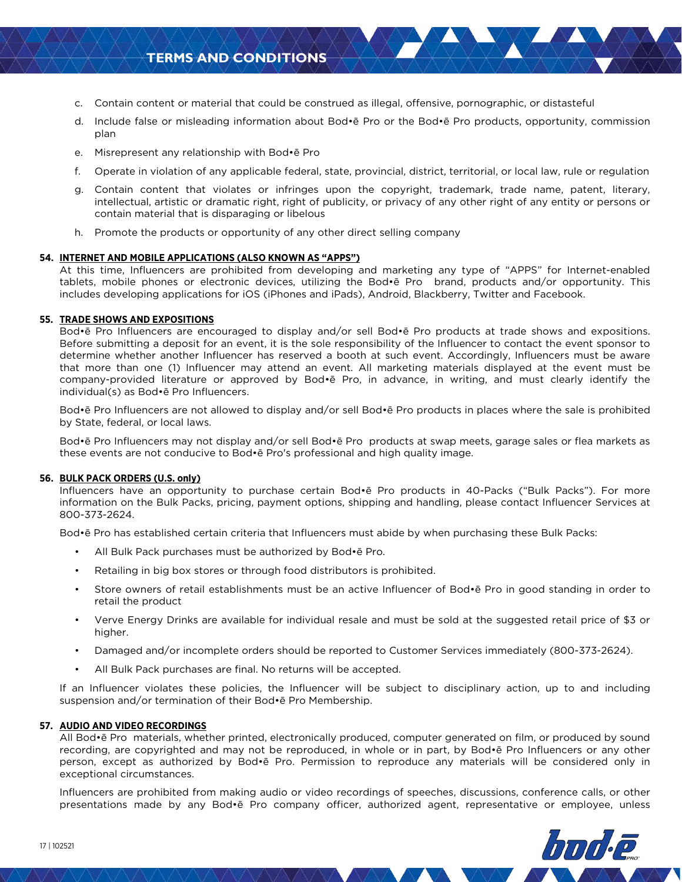# **TERMS AND CONDITIONS**

- c. Contain content or material that could be construed as illegal, offensive, pornographic, or distasteful
- d. Include false or misleading information about Bod•ē Pro or the Bod•ē Pro products, opportunity, commission plan
- e. Misrepresent any relationship with Bod•ē Pro
- f. Operate in violation of any applicable federal, state, provincial, district, territorial, or local law, rule or regulation
- g. Contain content that violates or infringes upon the copyright, trademark, trade name, patent, literary, intellectual, artistic or dramatic right, right of publicity, or privacy of any other right of any entity or persons or contain material that is disparaging or libelous
- h. Promote the products or opportunity of any other direct selling company

#### **54. INTERNET AND MOBILE APPLICATIONS (ALSO KNOWN AS "APPS")**

At this time, Influencers are prohibited from developing and marketing any type of "APPS" for Internet-enabled tablets, mobile phones or electronic devices, utilizing the Bod•ē Pro brand, products and/or opportunity. This includes developing applications for iOS (iPhones and iPads), Android, Blackberry, Twitter and Facebook.

#### **55. TRADE SHOWS AND EXPOSITIONS**

Bod•ē Pro Influencers are encouraged to display and/or sell Bod•ē Pro products at trade shows and expositions. Before submitting a deposit for an event, it is the sole responsibility of the Influencer to contact the event sponsor to determine whether another Influencer has reserved a booth at such event. Accordingly, Influencers must be aware that more than one (1) Influencer may attend an event. All marketing materials displayed at the event must be company-provided literature or approved by Bod•ē Pro, in advance, in writing, and must clearly identify the individual(s) as Bod•ē Pro Influencers.

Bod•ē Pro Influencers are not allowed to display and/or sell Bod•ē Pro products in places where the sale is prohibited by State, federal, or local laws.

Bod•ē Pro Influencers may not display and/or sell Bod•ē Pro products at swap meets, garage sales or flea markets as these events are not conducive to Bod•ē Pro's professional and high quality image.

#### **56. BULK PACK ORDERS (U.S. only)**

Influencers have an opportunity to purchase certain Bod•ē Pro products in 40-Packs ("Bulk Packs"). For more information on the Bulk Packs, pricing, payment options, shipping and handling, please contact Influencer Services at 800-373-2624.

Bod•ē Pro has established certain criteria that Influencers must abide by when purchasing these Bulk Packs:

- All Bulk Pack purchases must be authorized by Bod•ē Pro.
- Retailing in big box stores or through food distributors is prohibited.
- Store owners of retail establishments must be an active Influencer of Bod•ē Pro in good standing in order to retail the product
- Verve Energy Drinks are available for individual resale and must be sold at the suggested retail price of \$3 or higher.
- Damaged and/or incomplete orders should be reported to Customer Services immediately (800-373-2624).
- All Bulk Pack purchases are final. No returns will be accepted.

If an Influencer violates these policies, the Influencer will be subject to disciplinary action, up to and including suspension and/or termination of their Bod•ē Pro Membership.

#### **57. AUDIO AND VIDEO RECORDINGS**

All Bod•ē Pro materials, whether printed, electronically produced, computer generated on film, or produced by sound recording, are copyrighted and may not be reproduced, in whole or in part, by Bod•ē Pro Influencers or any other person, except as authorized by Bod•ē Pro. Permission to reproduce any materials will be considered only in exceptional circumstances.

Influencers are prohibited from making audio or video recordings of speeches, discussions, conference calls, or other presentations made by any Bod•ē Pro company officer, authorized agent, representative or employee, unless

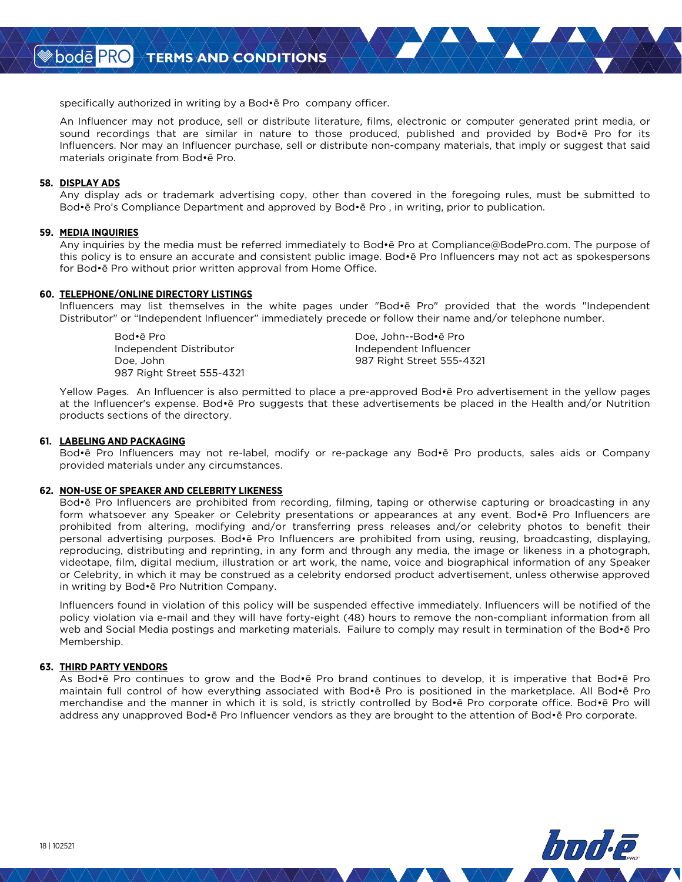specifically authorized in writing by a Bod•ē Pro company officer.

An Influencer may not produce, sell or distribute literature, films, electronic or computer generated print media, or sound recordings that are similar in nature to those produced, published and provided by Bod•ē Pro for its Influencers. Nor may an Influencer purchase, sell or distribute non-company materials, that imply or suggest that said materials originate from Bod•ē Pro.

#### **58. DISPLAY ADS**

Any display ads or trademark advertising copy, other than covered in the foregoing rules, must be submitted to Bod•ē Pro's Compliance Department and approved by Bod•ē Pro , in writing, prior to publication.

#### **59. MEDIA INQUIRIES**

Any inquiries by the media must be referred immediately to Bod•ē Pro at Compliance@BodePro.com. The purpose of this policy is to ensure an accurate and consistent public image. Bod•ē Pro Influencers may not act as spokespersons for Bod•ē Pro without prior written approval from Home Office.

#### **60. TELEPHONE/ONLINE DIRECTORY LISTINGS**

Influencers may list themselves in the white pages under "Bod•ē Pro" provided that the words "Independent Distributor" or "Independent Influencer" immediately precede or follow their name and/or telephone number.

Independent Distributor Independent Influencer 987 Right Street 555-4321

Bod•ē Pro Doe, John--Bod•ē Pro Doe, John 987 Right Street 555-4321

Yellow Pages. An Influencer is also permitted to place a pre-approved Bod•ē Pro advertisement in the yellow pages at the Influencer's expense. Bod•ē Pro suggests that these advertisements be placed in the Health and/or Nutrition products sections of the directory.

#### **61. LABELING AND PACKAGING**

Bod•ē Pro Influencers may not re-label, modify or re-package any Bod•ē Pro products, sales aids or Company provided materials under any circumstances.

#### **62. NON-USE OF SPEAKER AND CELEBRITY LIKENESS**

Bod•ē Pro Influencers are prohibited from recording, filming, taping or otherwise capturing or broadcasting in any form whatsoever any Speaker or Celebrity presentations or appearances at any event. Bod•ē Pro Influencers are prohibited from altering, modifying and/or transferring press releases and/or celebrity photos to benefit their personal advertising purposes. Bod•ē Pro Influencers are prohibited from using, reusing, broadcasting, displaying, reproducing, distributing and reprinting, in any form and through any media, the image or likeness in a photograph, videotape, film, digital medium, illustration or art work, the name, voice and biographical information of any Speaker or Celebrity, in which it may be construed as a celebrity endorsed product advertisement, unless otherwise approved in writing by Bod•ē Pro Nutrition Company.

Influencers found in violation of this policy will be suspended effective immediately. Influencers will be notified of the policy violation via e-mail and they will have forty-eight (48) hours to remove the non-compliant information from all web and Social Media postings and marketing materials. Failure to comply may result in termination of the Bod•ē Pro Membership.

#### **63. THIRD PARTY VENDORS**

As Bod•ē Pro continues to grow and the Bod•ē Pro brand continues to develop, it is imperative that Bod•ē Pro maintain full control of how everything associated with Bod•ē Pro is positioned in the marketplace. All Bod•ē Pro merchandise and the manner in which it is sold, is strictly controlled by Bod•ē Pro corporate office. Bod•ē Pro will address any unapproved Bod•ē Pro Influencer vendors as they are brought to the attention of Bod•ē Pro corporate.

**≫bodē PRC**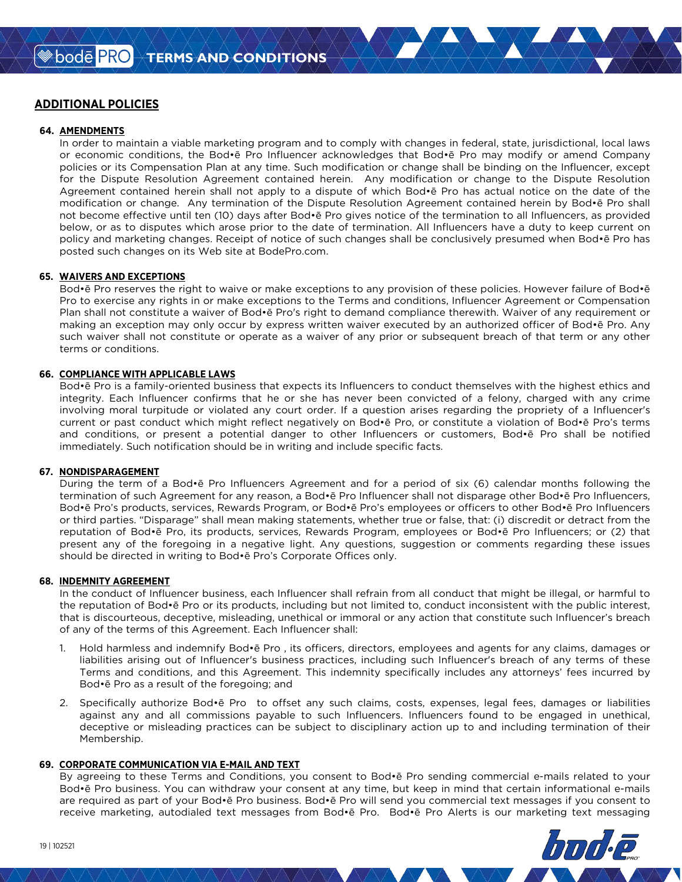# **ADDITIONAL POLICIES**

#### **64. AMENDMENTS**

In order to maintain a viable marketing program and to comply with changes in federal, state, jurisdictional, local laws or economic conditions, the Bod•ē Pro Influencer acknowledges that Bod•ē Pro may modify or amend Company policies or its Compensation Plan at any time. Such modification or change shall be binding on the Influencer, except for the Dispute Resolution Agreement contained herein. Any modification or change to the Dispute Resolution Agreement contained herein shall not apply to a dispute of which Bod•ē Pro has actual notice on the date of the modification or change. Any termination of the Dispute Resolution Agreement contained herein by Bod•ē Pro shall not become effective until ten (10) days after Bod•ē Pro gives notice of the termination to all Influencers, as provided below, or as to disputes which arose prior to the date of termination. All Influencers have a duty to keep current on policy and marketing changes. Receipt of notice of such changes shall be conclusively presumed when Bod•ē Pro has posted such changes on its Web site at BodePro.com.

#### **65. WAIVERS AND EXCEPTIONS**

Bod•ē Pro reserves the right to waive or make exceptions to any provision of these policies. However failure of Bod•ē Pro to exercise any rights in or make exceptions to the Terms and conditions, Influencer Agreement or Compensation Plan shall not constitute a waiver of Bod•ē Pro's right to demand compliance therewith. Waiver of any requirement or making an exception may only occur by express written waiver executed by an authorized officer of Bod•ē Pro. Any such waiver shall not constitute or operate as a waiver of any prior or subsequent breach of that term or any other terms or conditions.

#### **66. COMPLIANCE WITH APPLICABLE LAWS**

Bod•ē Pro is a family-oriented business that expects its Influencers to conduct themselves with the highest ethics and integrity. Each Influencer confirms that he or she has never been convicted of a felony, charged with any crime involving moral turpitude or violated any court order. If a question arises regarding the propriety of a Influencer's current or past conduct which might reflect negatively on Bod•ē Pro, or constitute a violation of Bod•ē Pro's terms and conditions, or present a potential danger to other Influencers or customers, Bod•ē Pro shall be notified immediately. Such notification should be in writing and include specific facts.

#### **67. NONDISPARAGEMENT**

During the term of a Bod•ē Pro Influencers Agreement and for a period of six (6) calendar months following the termination of such Agreement for any reason, a Bod•ē Pro Influencer shall not disparage other Bod•ē Pro Influencers, Bod•ē Pro's products, services, Rewards Program, or Bod•ē Pro's employees or officers to other Bod•ē Pro Influencers or third parties. "Disparage" shall mean making statements, whether true or false, that: (i) discredit or detract from the reputation of Bod•ē Pro, its products, services, Rewards Program, employees or Bod•ē Pro Influencers; or (2) that present any of the foregoing in a negative light. Any questions, suggestion or comments regarding these issues should be directed in writing to Bod•ē Pro's Corporate Offices only.

#### **68. INDEMNITY AGREEMENT**

In the conduct of Influencer business, each Influencer shall refrain from all conduct that might be illegal, or harmful to the reputation of Bod•ē Pro or its products, including but not limited to, conduct inconsistent with the public interest, that is discourteous, deceptive, misleading, unethical or immoral or any action that constitute such Influencer's breach of any of the terms of this Agreement. Each Influencer shall:

- 1. Hold harmless and indemnify Bod•ē Pro , its officers, directors, employees and agents for any claims, damages or liabilities arising out of Influencer's business practices, including such Influencer's breach of any terms of these Terms and conditions, and this Agreement. This indemnity specifically includes any attorneys' fees incurred by Bod•ē Pro as a result of the foregoing; and
- 2. Specifically authorize Bod•ē Pro to offset any such claims, costs, expenses, legal fees, damages or liabilities against any and all commissions payable to such Influencers. Influencers found to be engaged in unethical, deceptive or misleading practices can be subject to disciplinary action up to and including termination of their Membership.

#### **69. CORPORATE COMMUNICATION VIA E-MAIL AND TEXT**

By agreeing to these Terms and Conditions, you consent to Bod•ē Pro sending commercial e-mails related to your Bod•ē Pro business. You can withdraw your consent at any time, but keep in mind that certain informational e-mails are required as part of your Bod•ē Pro business. Bod•ē Pro will send you commercial text messages if you consent to receive marketing, autodialed text messages from Bod•ē Pro. Bod•ē Pro Alerts is our marketing text messaging

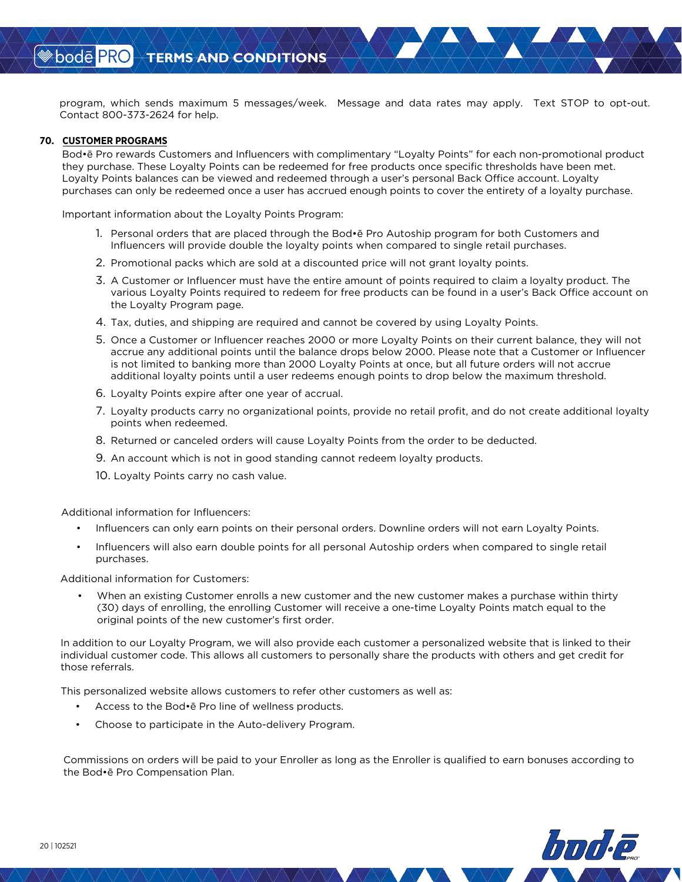program, which sends maximum 5 messages/week. Message and data rates may apply. Text STOP to opt-out. Contact 800-373-2624 for help.

#### **70. CUSTOMER PROGRAMS**

Bod•ē Pro rewards Customers and Influencers with complimentary "Loyalty Points" for each non-promotional product they purchase. These Loyalty Points can be redeemed for free products once specific thresholds have been met. Loyalty Points balances can be viewed and redeemed through a user's personal Back Office account. Loyalty purchases can only be redeemed once a user has accrued enough points to cover the entirety of a loyalty purchase.

Important information about the Loyalty Points Program:

- 1. Personal orders that are placed through the Bod•ē Pro Autoship program for both Customers and Influencers will provide double the loyalty points when compared to single retail purchases.
- 2. Promotional packs which are sold at a discounted price will not grant loyalty points.
- 3. A Customer or Influencer must have the entire amount of points required to claim a loyalty product. The various Loyalty Points required to redeem for free products can be found in a user's Back Office account on the Loyalty Program page.
- 4. Tax, duties, and shipping are required and cannot be covered by using Loyalty Points.
- 5. Once a Customer or Influencer reaches 2000 or more Loyalty Points on their current balance, they will not accrue any additional points until the balance drops below 2000. Please note that a Customer or Influencer is not limited to banking more than 2000 Loyalty Points at once, but all future orders will not accrue additional loyalty points until a user redeems enough points to drop below the maximum threshold.
- 6. Loyalty Points expire after one year of accrual.
- 7. Loyalty products carry no organizational points, provide no retail profit, and do not create additional loyalty points when redeemed.
- 8. Returned or canceled orders will cause Loyalty Points from the order to be deducted.
- 9. An account which is not in good standing cannot redeem loyalty products.
- 10. Loyalty Points carry no cash value.

Additional information for Influencers:

- Influencers can only earn points on their personal orders. Downline orders will not earn Loyalty Points.
- Influencers will also earn double points for all personal Autoship orders when compared to single retail purchases.

Additional information for Customers:

• When an existing Customer enrolls a new customer and the new customer makes a purchase within thirty (30) days of enrolling, the enrolling Customer will receive a one-time Loyalty Points match equal to the original points of the new customer's first order.

In addition to our Loyalty Program, we will also provide each customer a personalized website that is linked to their individual customer code. This allows all customers to personally share the products with others and get credit for those referrals.

This personalized website allows customers to refer other customers as well as:

- Access to the Bod•ē Pro line of wellness products.
- Choose to participate in the Auto-delivery Program.

Commissions on orders will be paid to your Enroller as long as the Enroller is qualified to earn bonuses according to the Bod•ē Pro Compensation Plan.

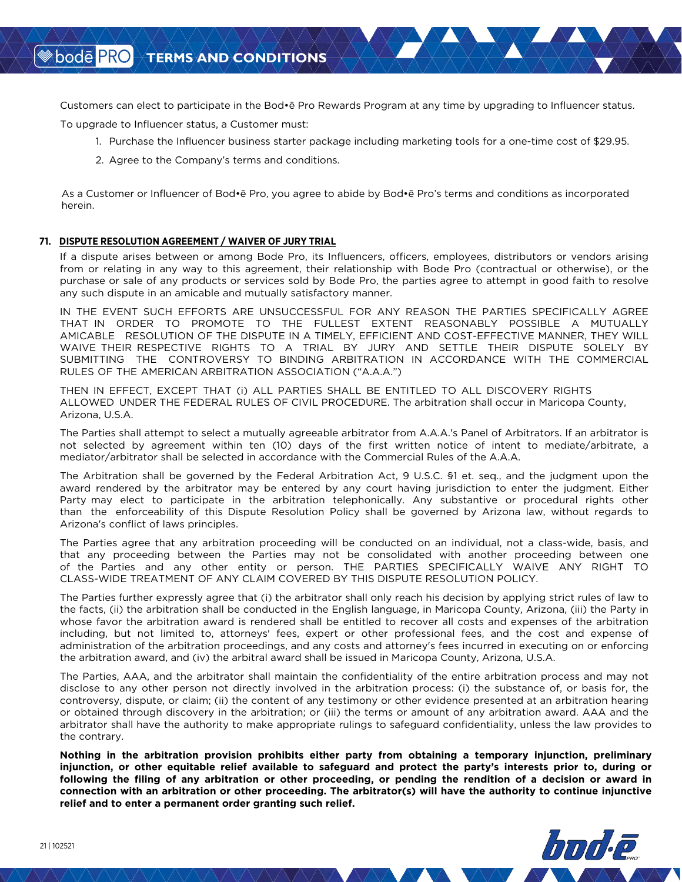Customers can elect to participate in the Bod•ē Pro Rewards Program at any time by upgrading to Influencer status.

To upgrade to Influencer status, a Customer must:

- 1. Purchase the Influencer business starter package including marketing tools for a one-time cost of \$29.95.
- 2. Agree to the Company's terms and conditions.

As a Customer or Influencer of Bod•ē Pro, you agree to abide by Bod•ē Pro's terms and conditions as incorporated herein.

### **71. DISPUTE RESOLUTION AGREEMENT / WAIVER OF JURY TRIAL**

If a dispute arises between or among Bode Pro, its Influencers, officers, employees, distributors or vendors arising from or relating in any way to this agreement, their relationship with Bode Pro (contractual or otherwise), or the purchase or sale of any products or services sold by Bode Pro, the parties agree to attempt in good faith to resolve any such dispute in an amicable and mutually satisfactory manner.

IN THE EVENT SUCH EFFORTS ARE UNSUCCESSFUL FOR ANY REASON THE PARTIES SPECIFICALLY AGREE THAT IN ORDER TO PROMOTE TO THE FULLEST EXTENT REASONABLY POSSIBLE A MUTUALLY AMICABLE RESOLUTION OF THE DISPUTE IN A TIMELY, EFFICIENT AND COST-EFFECTIVE MANNER, THEY WILL WAIVE THEIR RESPECTIVE RIGHTS TO A TRIAL BY JURY AND SETTLE THEIR DISPUTE SOLELY BY SUBMITTING THE CONTROVERSY TO BINDING ARBITRATION IN ACCORDANCE WITH THE COMMERCIAL RULES OF THE AMERICAN ARBITRATION ASSOCIATION ("A.A.A.")

THEN IN EFFECT, EXCEPT THAT (i) ALL PARTIES SHALL BE ENTITLED TO ALL DISCOVERY RIGHTS ALLOWED UNDER THE FEDERAL RULES OF CIVIL PROCEDURE. The arbitration shall occur in Maricopa County, Arizona, U.S.A.

The Parties shall attempt to select a mutually agreeable arbitrator from A.A.A.'s Panel of Arbitrators. If an arbitrator is not selected by agreement within ten (10) days of the first written notice of intent to mediate/arbitrate, a mediator/arbitrator shall be selected in accordance with the Commercial Rules of the A.A.A.

The Arbitration shall be governed by the Federal Arbitration Act, 9 U.S.C. §1 et. seq., and the judgment upon the award rendered by the arbitrator may be entered by any court having jurisdiction to enter the judgment. Either Party may elect to participate in the arbitration telephonically. Any substantive or procedural rights other than the enforceability of this Dispute Resolution Policy shall be governed by Arizona law, without regards to Arizona's conflict of laws principles.

The Parties agree that any arbitration proceeding will be conducted on an individual, not a class-wide, basis, and that any proceeding between the Parties may not be consolidated with another proceeding between one of the Parties and any other entity or person. THE PARTIES SPECIFICALLY WAIVE ANY RIGHT TO CLASS-WIDE TREATMENT OF ANY CLAIM COVERED BY THIS DISPUTE RESOLUTION POLICY.

The Parties further expressly agree that (i) the arbitrator shall only reach his decision by applying strict rules of law to the facts, (ii) the arbitration shall be conducted in the English language, in Maricopa County, Arizona, (iii) the Party in whose favor the arbitration award is rendered shall be entitled to recover all costs and expenses of the arbitration including, but not limited to, attorneys' fees, expert or other professional fees, and the cost and expense of administration of the arbitration proceedings, and any costs and attorney's fees incurred in executing on or enforcing the arbitration award, and (iv) the arbitral award shall be issued in Maricopa County, Arizona, U.S.A.

The Parties, AAA, and the arbitrator shall maintain the confidentiality of the entire arbitration process and may not disclose to any other person not directly involved in the arbitration process: (i) the substance of, or basis for, the controversy, dispute, or claim; (ii) the content of any testimony or other evidence presented at an arbitration hearing or obtained through discovery in the arbitration; or (iii) the terms or amount of any arbitration award. AAA and the arbitrator shall have the authority to make appropriate rulings to safeguard confidentiality, unless the law provides to the contrary.

**Nothing in the arbitration provision prohibits either party from obtaining a temporary injunction, preliminary injunction, or other equitable relief available to safeguard and protect the party's interests prior to, during or following the filing of any arbitration or other proceeding, or pending the rendition of a decision or award in connection with an arbitration or other proceeding. The arbitrator(s) will have the authority to continue injunctive relief and to enter a permanent order granting such relief.**

**<sup>◈</sup>bodē PRO**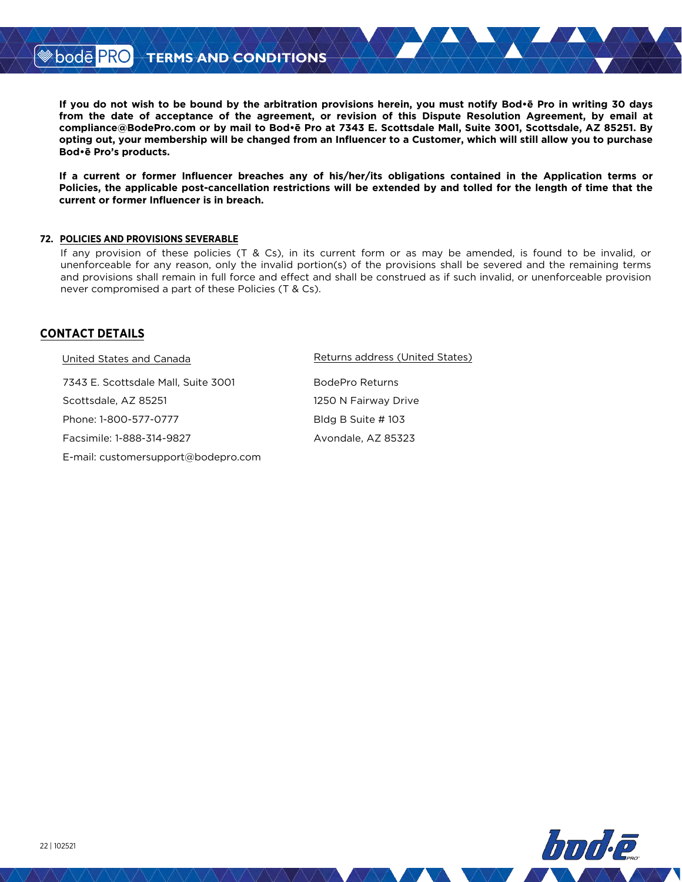**If you do not wish to be bound by the arbitration provisions herein, you must notify Bod•ē Pro in writing 30 days from the date of acceptance of the agreement, or revision of this Dispute Resolution Agreement, by email at compliance@BodePro.com or by mail to Bod•ē Pro at 7343 E. Scottsdale Mall, Suite 3001, Scottsdale, AZ 85251. By opting out, your membership will be changed from an Influencer to a Customer, which will still allow you to purchase Bod•ē Pro's products.**

**If a current or former Influencer breaches any of his/her/its obligations contained in the Application terms or Policies, the applicable post-cancellation restrictions will be extended by and tolled for the length of time that the current or former Influencer is in breach.**

### **72. POLICIES AND PROVISIONS SEVERABLE**

If any provision of these policies (T & Cs), in its current form or as may be amended, is found to be invalid, or unenforceable for any reason, only the invalid portion(s) of the provisions shall be severed and the remaining terms and provisions shall remain in full force and effect and shall be construed as if such invalid, or unenforceable provision never compromised a part of these Policies (T & Cs).

# **CONTACT DETAILS**

| United States and Canada            | Returns address (United States) |
|-------------------------------------|---------------------------------|
| 7343 E. Scottsdale Mall, Suite 3001 | BodePro Returns                 |
| Scottsdale, AZ 85251                | 1250 N Fairway Drive            |
| Phone: 1-800-577-0777               | Bldg B Suite # 103              |
| Facsimile: 1-888-314-9827           | Avondale, AZ 85323              |
| E-mail: customersupport@bodepro.com |                                 |